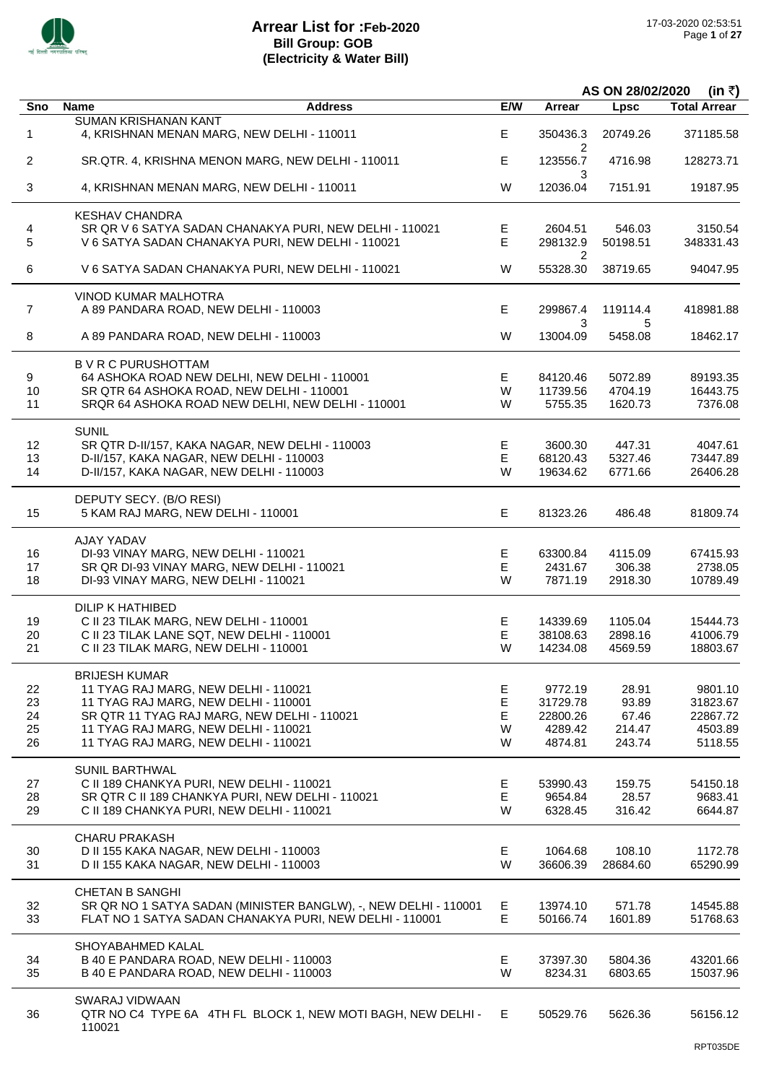

|                |                                                                                               |             |                     | AS ON 28/02/2020<br>(in ₹) |                     |
|----------------|-----------------------------------------------------------------------------------------------|-------------|---------------------|----------------------------|---------------------|
| Sno            | <b>Name</b><br><b>Address</b>                                                                 | E/W         | <b>Arrear</b>       | <b>Lpsc</b>                | <b>Total Arrear</b> |
|                | <b>SUMAN KRISHANAN KANT</b>                                                                   |             |                     |                            |                     |
| 1              | 4, KRISHNAN MENAN MARG, NEW DELHI - 110011                                                    | E           | 350436.3<br>2       | 20749.26                   | 371185.58           |
| $\overline{2}$ | SR.QTR. 4, KRISHNA MENON MARG, NEW DELHI - 110011                                             | E           | 123556.7<br>3       | 4716.98                    | 128273.71           |
| 3              | 4, KRISHNAN MENAN MARG, NEW DELHI - 110011                                                    | W           | 12036.04            | 7151.91                    | 19187.95            |
|                | <b>KESHAV CHANDRA</b>                                                                         |             |                     |                            |                     |
| 4              | SR QR V 6 SATYA SADAN CHANAKYA PURI, NEW DELHI - 110021                                       | Е           | 2604.51             | 546.03                     | 3150.54             |
| 5              | V 6 SATYA SADAN CHANAKYA PURI, NEW DELHI - 110021                                             | E           | 298132.9            | 50198.51                   | 348331.43           |
| 6              | V 6 SATYA SADAN CHANAKYA PURI, NEW DELHI - 110021                                             | W           | 2<br>55328.30       | 38719.65                   | 94047.95            |
|                | VINOD KUMAR MALHOTRA                                                                          |             |                     |                            |                     |
| 7              | A 89 PANDARA ROAD, NEW DELHI - 110003                                                         | Е           | 299867.4            | 119114.4                   | 418981.88           |
| 8              | A 89 PANDARA ROAD, NEW DELHI - 110003                                                         | W           | 3<br>13004.09       | 5<br>5458.08               | 18462.17            |
|                | <b>B V R C PURUSHOTTAM</b>                                                                    |             |                     |                            |                     |
| 9              | 64 ASHOKA ROAD NEW DELHI, NEW DELHI - 110001                                                  | E           | 84120.46            | 5072.89                    | 89193.35            |
| 10             | SR QTR 64 ASHOKA ROAD, NEW DELHI - 110001                                                     | W           | 11739.56            | 4704.19                    | 16443.75            |
| 11             | SRQR 64 ASHOKA ROAD NEW DELHI, NEW DELHI - 110001                                             | W           | 5755.35             | 1620.73                    | 7376.08             |
|                | <b>SUNIL</b>                                                                                  |             |                     |                            |                     |
| 12             | SR QTR D-II/157, KAKA NAGAR, NEW DELHI - 110003                                               | Е           | 3600.30             | 447.31                     | 4047.61             |
| 13             | D-II/157, KAKA NAGAR, NEW DELHI - 110003                                                      | Е           | 68120.43            | 5327.46                    | 73447.89            |
| 14             | D-II/157, KAKA NAGAR, NEW DELHI - 110003                                                      | W           | 19634.62            | 6771.66                    | 26406.28            |
|                | DEPUTY SECY. (B/O RESI)                                                                       |             |                     |                            |                     |
| 15             | 5 KAM RAJ MARG, NEW DELHI - 110001                                                            | E           | 81323.26            | 486.48                     | 81809.74            |
|                | AJAY YADAV                                                                                    |             |                     |                            |                     |
| 16             | DI-93 VINAY MARG, NEW DELHI - 110021                                                          | E           | 63300.84            | 4115.09                    | 67415.93            |
| 17<br>18       | SR QR DI-93 VINAY MARG, NEW DELHI - 110021<br>DI-93 VINAY MARG, NEW DELHI - 110021            | Е<br>W      | 2431.67<br>7871.19  | 306.38<br>2918.30          | 2738.05<br>10789.49 |
|                | <b>DILIP K HATHIBED</b>                                                                       |             |                     |                            |                     |
| 19             | C II 23 TILAK MARG, NEW DELHI - 110001                                                        | E           | 14339.69            | 1105.04                    | 15444.73            |
| 20             | C II 23 TILAK LANE SQT, NEW DELHI - 110001                                                    | E           | 38108.63            | 2898.16                    | 41006.79            |
| 21             | C II 23 TILAK MARG, NEW DELHI - 110001                                                        | W           | 14234.08            | 4569.59                    | 18803.67            |
|                | <b>BRIJESH KUMAR</b>                                                                          |             |                     |                            |                     |
| 22             | 11 TYAG RAJ MARG, NEW DELHI - 110021                                                          | Е           | 9772.19             | 28.91                      | 9801.10             |
| 23             | 11 TYAG RAJ MARG, NEW DELHI - 110001                                                          | $\mathsf E$ | 31729.78            | 93.89                      | 31823.67            |
| 24             | SR QTR 11 TYAG RAJ MARG, NEW DELHI - 110021                                                   | E           | 22800.26            | 67.46                      | 22867.72            |
| 25             | 11 TYAG RAJ MARG, NEW DELHI - 110021                                                          | W           | 4289.42             | 214.47                     | 4503.89             |
| 26             | 11 TYAG RAJ MARG, NEW DELHI - 110021                                                          | W           | 4874.81             | 243.74                     | 5118.55             |
|                | <b>SUNIL BARTHWAL</b>                                                                         |             |                     |                            |                     |
| 27<br>28       | C II 189 CHANKYA PURI, NEW DELHI - 110021<br>SR QTR C II 189 CHANKYA PURI, NEW DELHI - 110021 | Е<br>E      | 53990.43<br>9654.84 | 159.75<br>28.57            | 54150.18<br>9683.41 |
| 29             | C II 189 CHANKYA PURI, NEW DELHI - 110021                                                     | W           | 6328.45             | 316.42                     | 6644.87             |
|                | <b>CHARU PRAKASH</b>                                                                          |             |                     |                            |                     |
| 30             | D II 155 KAKA NAGAR, NEW DELHI - 110003                                                       | E.          | 1064.68             | 108.10                     | 1172.78             |
| 31             | D II 155 KAKA NAGAR, NEW DELHI - 110003                                                       | W           | 36606.39            | 28684.60                   | 65290.99            |
|                | <b>CHETAN B SANGHI</b>                                                                        |             |                     |                            |                     |
| 32             | SR QR NO 1 SATYA SADAN (MINISTER BANGLW), -, NEW DELHI - 110001                               | E           | 13974.10            | 571.78                     | 14545.88            |
| 33             | FLAT NO 1 SATYA SADAN CHANAKYA PURI, NEW DELHI - 110001                                       | E           | 50166.74            | 1601.89                    | 51768.63            |
|                | SHOYABAHMED KALAL                                                                             |             |                     |                            |                     |
| 34             | B 40 E PANDARA ROAD, NEW DELHI - 110003                                                       | Е           | 37397.30            | 5804.36                    | 43201.66            |
| 35             | B 40 E PANDARA ROAD, NEW DELHI - 110003                                                       | W           | 8234.31             | 6803.65                    | 15037.96            |
|                | SWARAJ VIDWAAN                                                                                |             |                     |                            |                     |
| 36             | QTR NO C4 TYPE 6A 4TH FL BLOCK 1, NEW MOTI BAGH, NEW DELHI -                                  | E           | 50529.76            | 5626.36                    | 56156.12            |
|                | 110021                                                                                        |             |                     |                            |                     |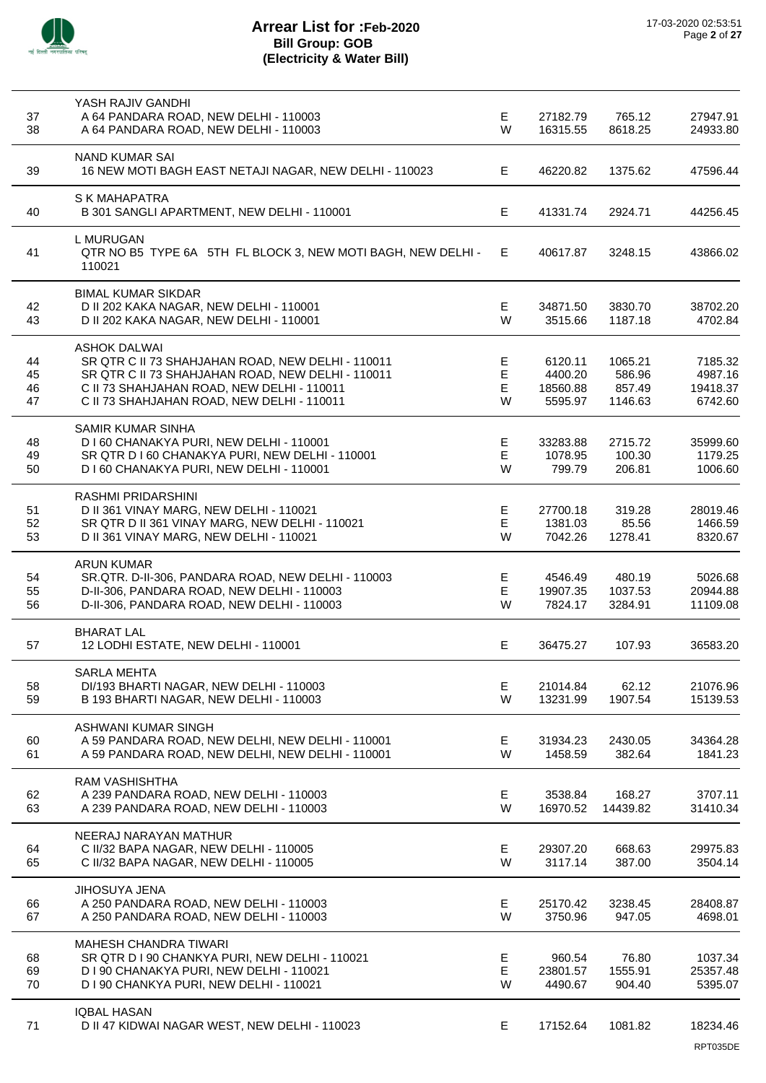

# **Arrear List for :Feb-2020 Bill Group: GOB (Electricity & Water Bill)**

| 37       | YASH RAJIV GANDHI<br>A 64 PANDARA ROAD, NEW DELHI - 110003                                             | Е      | 27182.79            | 765.12             | 27947.91            |
|----------|--------------------------------------------------------------------------------------------------------|--------|---------------------|--------------------|---------------------|
| 38       | A 64 PANDARA ROAD, NEW DELHI - 110003                                                                  | W      | 16315.55            | 8618.25            | 24933.80            |
| 39       | <b>NAND KUMAR SAI</b><br>16 NEW MOTI BAGH EAST NETAJI NAGAR, NEW DELHI - 110023                        | Е      | 46220.82            | 1375.62            | 47596.44            |
| 40       | <b>S K MAHAPATRA</b><br>B 301 SANGLI APARTMENT, NEW DELHI - 110001                                     | Е      | 41331.74            | 2924.71            | 44256.45            |
|          | L MURUGAN                                                                                              |        |                     |                    |                     |
| 41       | QTR NO B5 TYPE 6A 5TH FL BLOCK 3, NEW MOTI BAGH, NEW DELHI -<br>110021                                 | E.     | 40617.87            | 3248.15            | 43866.02            |
|          | <b>BIMAL KUMAR SIKDAR</b>                                                                              | E      |                     |                    |                     |
| 42<br>43 | D II 202 KAKA NAGAR, NEW DELHI - 110001<br>D II 202 KAKA NAGAR, NEW DELHI - 110001                     | W      | 34871.50<br>3515.66 | 3830.70<br>1187.18 | 38702.20<br>4702.84 |
|          | <b>ASHOK DALWAI</b>                                                                                    |        |                     |                    |                     |
| 44<br>45 | SR QTR C II 73 SHAHJAHAN ROAD, NEW DELHI - 110011<br>SR QTR C II 73 SHAHJAHAN ROAD, NEW DELHI - 110011 | Е<br>E | 6120.11<br>4400.20  | 1065.21<br>586.96  | 7185.32<br>4987.16  |
| 46       | C II 73 SHAHJAHAN ROAD, NEW DELHI - 110011                                                             | Е      | 18560.88            | 857.49             | 19418.37            |
| 47       | C II 73 SHAHJAHAN ROAD, NEW DELHI - 110011                                                             | W      | 5595.97             | 1146.63            | 6742.60             |
|          | <b>SAMIR KUMAR SINHA</b>                                                                               |        |                     |                    |                     |
| 48       | D I 60 CHANAKYA PURI, NEW DELHI - 110001                                                               | Е<br>E | 33283.88<br>1078.95 | 2715.72            | 35999.60<br>1179.25 |
| 49<br>50 | SR QTR D I 60 CHANAKYA PURI, NEW DELHI - 110001<br>D I 60 CHANAKYA PURI, NEW DELHI - 110001            | W      | 799.79              | 100.30<br>206.81   | 1006.60             |
|          | <b>RASHMI PRIDARSHINI</b>                                                                              |        |                     |                    |                     |
| 51       | D II 361 VINAY MARG, NEW DELHI - 110021                                                                | E      | 27700.18            | 319.28             | 28019.46            |
| 52       | SR QTR D II 361 VINAY MARG, NEW DELHI - 110021                                                         | E      | 1381.03             | 85.56              | 1466.59             |
| 53       | D II 361 VINAY MARG, NEW DELHI - 110021                                                                | W      | 7042.26             | 1278.41            | 8320.67             |
| 54       | <b>ARUN KUMAR</b><br>SR.QTR. D-II-306, PANDARA ROAD, NEW DELHI - 110003                                | Е      | 4546.49             | 480.19             | 5026.68             |
| 55       | D-II-306, PANDARA ROAD, NEW DELHI - 110003                                                             | E      | 19907.35            | 1037.53            | 20944.88            |
| 56       | D-II-306, PANDARA ROAD, NEW DELHI - 110003                                                             | W      | 7824.17             | 3284.91            | 11109.08            |
|          | <b>BHARAT LAL</b>                                                                                      |        |                     |                    |                     |
| 57       | 12 LODHI ESTATE, NEW DELHI - 110001                                                                    | E      | 36475.27            | 107.93             | 36583.20            |
| 58       | <b>SARLA MEHTA</b><br>DI/193 BHARTI NAGAR, NEW DELHI - 110003                                          | Е      | 21014.84            | 62.12              | 21076.96            |
| 59       | B 193 BHARTI NAGAR, NEW DELHI - 110003                                                                 | W      | 13231.99            | 1907.54            | 15139.53            |
|          | ASHWANI KUMAR SINGH                                                                                    |        |                     |                    |                     |
| 60       | A 59 PANDARA ROAD, NEW DELHI, NEW DELHI - 110001                                                       | Е      | 31934.23            | 2430.05            | 34364.28            |
| 61       | A 59 PANDARA ROAD, NEW DELHI, NEW DELHI - 110001                                                       | W      | 1458.59             | 382.64             | 1841.23             |
| 62       | RAM VASHISHTHA<br>A 239 PANDARA ROAD, NEW DELHI - 110003                                               | Е      | 3538.84             | 168.27             | 3707.11             |
| 63       | A 239 PANDARA ROAD, NEW DELHI - 110003                                                                 | W      | 16970.52            | 14439.82           | 31410.34            |
|          | NEERAJ NARAYAN MATHUR                                                                                  |        |                     |                    |                     |
| 64       | C II/32 BAPA NAGAR, NEW DELHI - 110005                                                                 | E      | 29307.20            | 668.63             | 29975.83            |
| 65       | C II/32 BAPA NAGAR, NEW DELHI - 110005                                                                 | W      | 3117.14             | 387.00             | 3504.14             |
| 66       | JIHOSUYA JENA<br>A 250 PANDARA ROAD, NEW DELHI - 110003                                                | Е      | 25170.42            | 3238.45            | 28408.87            |
| 67       | A 250 PANDARA ROAD, NEW DELHI - 110003                                                                 | W      | 3750.96             | 947.05             | 4698.01             |
|          | <b>MAHESH CHANDRA TIWARI</b>                                                                           |        |                     |                    |                     |
| 68       | SR QTR D I 90 CHANKYA PURI, NEW DELHI - 110021                                                         | Е      | 960.54              | 76.80              | 1037.34             |
| 69       | D I 90 CHANAKYA PURI, NEW DELHI - 110021                                                               | Е      | 23801.57            | 1555.91            | 25357.48            |
| 70       | D I 90 CHANKYA PURI, NEW DELHI - 110021                                                                | W      | 4490.67             | 904.40             | 5395.07             |
| 71       | <b>IQBAL HASAN</b><br>D II 47 KIDWAI NAGAR WEST, NEW DELHI - 110023                                    | Е      | 17152.64            | 1081.82            | 18234.46            |
|          |                                                                                                        |        |                     |                    |                     |

RPT035DE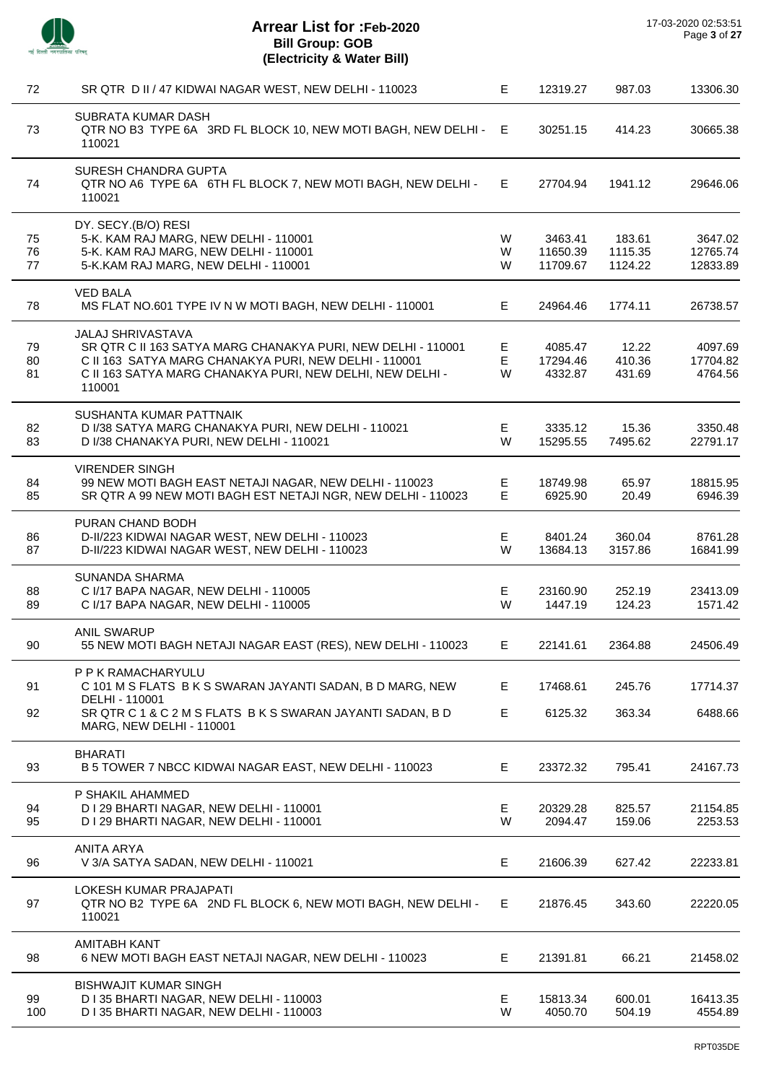

| 72       | SR QTR D II / 47 KIDWAI NAGAR WEST, NEW DELHI - 110023                                                                 | Е       | 12319.27             | 987.03             | 13306.30             |
|----------|------------------------------------------------------------------------------------------------------------------------|---------|----------------------|--------------------|----------------------|
| 73       | SUBRATA KUMAR DASH<br>QTR NO B3 TYPE 6A 3RD FL BLOCK 10, NEW MOTI BAGH, NEW DELHI -<br>110021                          | E.      | 30251.15             | 414.23             | 30665.38             |
| 74       | SURESH CHANDRA GUPTA<br>QTR NO A6 TYPE 6A 6TH FL BLOCK 7, NEW MOTI BAGH, NEW DELHI -<br>110021                         | E.      | 27704.94             | 1941.12            | 29646.06             |
|          | DY. SECY.(B/O) RESI                                                                                                    |         |                      |                    |                      |
| 75       | 5-K. KAM RAJ MARG, NEW DELHI - 110001                                                                                  | W       | 3463.41              | 183.61             | 3647.02              |
| 76<br>77 | 5-K. KAM RAJ MARG, NEW DELHI - 110001<br>5-K.KAM RAJ MARG, NEW DELHI - 110001                                          | W<br>W  | 11650.39<br>11709.67 | 1115.35<br>1124.22 | 12765.74<br>12833.89 |
|          |                                                                                                                        |         |                      |                    |                      |
| 78       | <b>VED BALA</b><br>MS FLAT NO.601 TYPE IV N W MOTI BAGH, NEW DELHI - 110001                                            | E.      | 24964.46             | 1774.11            | 26738.57             |
|          | <b>JALAJ SHRIVASTAVA</b>                                                                                               |         |                      |                    |                      |
| 79       | SR QTR C II 163 SATYA MARG CHANAKYA PURI, NEW DELHI - 110001                                                           | Е       | 4085.47              | 12.22              | 4097.69              |
| 80<br>81 | C II 163 SATYA MARG CHANAKYA PURI, NEW DELHI - 110001<br>C II 163 SATYA MARG CHANAKYA PURI, NEW DELHI, NEW DELHI -     | E<br>W  | 17294.46<br>4332.87  | 410.36<br>431.69   | 17704.82<br>4764.56  |
|          | 110001                                                                                                                 |         |                      |                    |                      |
|          | SUSHANTA KUMAR PATTNAIK                                                                                                |         |                      |                    |                      |
| 82       | D I/38 SATYA MARG CHANAKYA PURI, NEW DELHI - 110021                                                                    | Е       | 3335.12              | 15.36              | 3350.48              |
| 83       | D I/38 CHANAKYA PURI, NEW DELHI - 110021                                                                               | W       | 15295.55             | 7495.62            | 22791.17             |
|          | <b>VIRENDER SINGH</b>                                                                                                  |         |                      |                    |                      |
| 84<br>85 | 99 NEW MOTI BAGH EAST NETAJI NAGAR, NEW DELHI - 110023<br>SR QTR A 99 NEW MOTI BAGH EST NETAJI NGR, NEW DELHI - 110023 | Е<br>E  | 18749.98<br>6925.90  | 65.97<br>20.49     | 18815.95<br>6946.39  |
|          |                                                                                                                        |         |                      |                    |                      |
|          | PURAN CHAND BODH                                                                                                       |         |                      |                    |                      |
| 86<br>87 | D-II/223 KIDWAI NAGAR WEST, NEW DELHI - 110023                                                                         | E<br>W  | 8401.24              | 360.04             | 8761.28              |
|          | D-II/223 KIDWAI NAGAR WEST, NEW DELHI - 110023                                                                         |         | 13684.13             | 3157.86            | 16841.99             |
|          | SUNANDA SHARMA                                                                                                         |         |                      |                    |                      |
| 88<br>89 | C I/17 BAPA NAGAR, NEW DELHI - 110005<br>C I/17 BAPA NAGAR, NEW DELHI - 110005                                         | Е<br>W  | 23160.90<br>1447.19  | 252.19<br>124.23   | 23413.09<br>1571.42  |
|          |                                                                                                                        |         |                      |                    |                      |
| 90       | <b>ANIL SWARUP</b><br>55 NEW MOTI BAGH NETAJI NAGAR EAST (RES), NEW DELHI - 110023                                     | E.      | 22141.61             | 2364.88            | 24506.49             |
| 91       | P P K RAMACHARYULU<br>C 101 M S FLATS B K S SWARAN JAYANTI SADAN, B D MARG, NEW                                        | Е       | 17468.61             | 245.76             | 17714.37             |
|          | DELHI - 110001                                                                                                         |         |                      |                    |                      |
| 92       | SR QTR C 1 & C 2 M S FLATS B K S SWARAN JAYANTI SADAN, B D<br><b>MARG, NEW DELHI - 110001</b>                          | E       | 6125.32              | 363.34             | 6488.66              |
|          | <b>BHARATI</b>                                                                                                         |         |                      |                    |                      |
| 93       | B 5 TOWER 7 NBCC KIDWAI NAGAR EAST, NEW DELHI - 110023                                                                 | E       | 23372.32             | 795.41             | 24167.73             |
|          | P SHAKIL AHAMMED                                                                                                       |         |                      |                    |                      |
| 94       | D I 29 BHARTI NAGAR, NEW DELHI - 110001                                                                                | E.<br>W | 20329.28<br>2094.47  | 825.57             | 21154.85             |
| 95       | D I 29 BHARTI NAGAR, NEW DELHI - 110001                                                                                |         |                      | 159.06             | 2253.53              |
| 96       | <b>ANITA ARYA</b><br>V 3/A SATYA SADAN, NEW DELHI - 110021                                                             | Е       | 21606.39             | 627.42             | 22233.81             |
|          |                                                                                                                        |         |                      |                    |                      |
| 97       | LOKESH KUMAR PRAJAPATI<br>QTR NO B2 TYPE 6A 2ND FL BLOCK 6, NEW MOTI BAGH, NEW DELHI -<br>110021                       | E.      | 21876.45             | 343.60             | 22220.05             |
| 98       | <b>AMITABH KANT</b><br>6 NEW MOTI BAGH EAST NETAJI NAGAR, NEW DELHI - 110023                                           | E       | 21391.81             | 66.21              | 21458.02             |
|          | <b>BISHWAJIT KUMAR SINGH</b>                                                                                           |         |                      |                    |                      |
| 99       | D I 35 BHARTI NAGAR, NEW DELHI - 110003                                                                                | E       | 15813.34             | 600.01             | 16413.35             |
| 100      | D I 35 BHARTI NAGAR, NEW DELHI - 110003                                                                                | W       | 4050.70              | 504.19             | 4554.89              |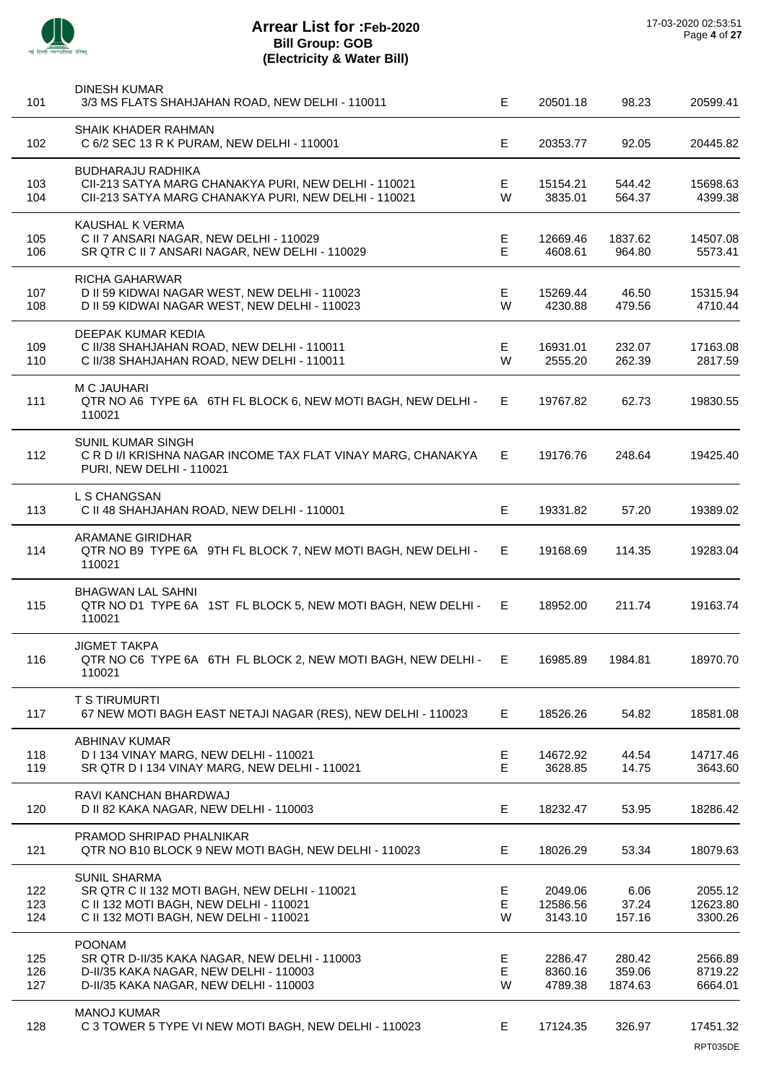

| 101               | <b>DINESH KUMAR</b><br>3/3 MS FLATS SHAHJAHAN ROAD, NEW DELHI - 110011                                                                                   | E.           | 20501.18                       | 98.23                       | 20599.41                       |
|-------------------|----------------------------------------------------------------------------------------------------------------------------------------------------------|--------------|--------------------------------|-----------------------------|--------------------------------|
| 102               | SHAIK KHADER RAHMAN<br>C 6/2 SEC 13 R K PURAM, NEW DELHI - 110001                                                                                        | E            | 20353.77                       | 92.05                       | 20445.82                       |
| 103<br>104        | <b>BUDHARAJU RADHIKA</b><br>CII-213 SATYA MARG CHANAKYA PURI, NEW DELHI - 110021<br>CII-213 SATYA MARG CHANAKYA PURI, NEW DELHI - 110021                 | E<br>W       | 15154.21<br>3835.01            | 544.42<br>564.37            | 15698.63<br>4399.38            |
| 105<br>106        | KAUSHAL K VERMA<br>C II 7 ANSARI NAGAR, NEW DELHI - 110029<br>SR QTR C II 7 ANSARI NAGAR, NEW DELHI - 110029                                             | Е<br>E       | 12669.46<br>4608.61            | 1837.62<br>964.80           | 14507.08<br>5573.41            |
| 107<br>108        | RICHA GAHARWAR<br>D II 59 KIDWAI NAGAR WEST, NEW DELHI - 110023<br>D II 59 KIDWAI NAGAR WEST, NEW DELHI - 110023                                         | E.<br>W      | 15269.44<br>4230.88            | 46.50<br>479.56             | 15315.94<br>4710.44            |
| 109<br>110        | DEEPAK KUMAR KEDIA<br>C II/38 SHAHJAHAN ROAD, NEW DELHI - 110011<br>C II/38 SHAHJAHAN ROAD, NEW DELHI - 110011                                           | E<br>W       | 16931.01<br>2555.20            | 232.07<br>262.39            | 17163.08<br>2817.59            |
| 111               | <b>M C JAUHARI</b><br>QTR NO A6 TYPE 6A 6TH FL BLOCK 6, NEW MOTI BAGH, NEW DELHI -<br>110021                                                             | E            | 19767.82                       | 62.73                       | 19830.55                       |
| 112               | SUNIL KUMAR SINGH<br>C R D I/I KRISHNA NAGAR INCOME TAX FLAT VINAY MARG, CHANAKYA<br><b>PURI, NEW DELHI - 110021</b>                                     | E            | 19176.76                       | 248.64                      | 19425.40                       |
| 113               | L S CHANGSAN<br>C II 48 SHAHJAHAN ROAD, NEW DELHI - 110001                                                                                               | E            | 19331.82                       | 57.20                       | 19389.02                       |
| 114               | <b>ARAMANE GIRIDHAR</b><br>QTR NO B9 TYPE 6A 9TH FL BLOCK 7, NEW MOTI BAGH, NEW DELHI -<br>110021                                                        | E            | 19168.69                       | 114.35                      | 19283.04                       |
| 115               | <b>BHAGWAN LAL SAHNI</b><br>QTR NO D1 TYPE 6A 1ST FL BLOCK 5, NEW MOTI BAGH, NEW DELHI -<br>110021                                                       | E.           | 18952.00                       | 211.74                      | 19163.74                       |
| 116               | <b>JIGMET TAKPA</b><br>QTR NO C6 TYPE 6A 6TH FL BLOCK 2, NEW MOTI BAGH, NEW DELHI -<br>110021                                                            | E.           | 16985.89                       | 1984 81                     | 18970 70                       |
| 117               | <b>T S TIRUMURTI</b><br>67 NEW MOTI BAGH EAST NETAJI NAGAR (RES), NEW DELHI - 110023                                                                     | Е            | 18526.26                       | 54.82                       | 18581.08                       |
| 118<br>119        | <b>ABHINAV KUMAR</b><br>D I 134 VINAY MARG, NEW DELHI - 110021<br>SR QTR D I 134 VINAY MARG, NEW DELHI - 110021                                          | E<br>E       | 14672.92<br>3628.85            | 44.54<br>14.75              | 14717.46<br>3643.60            |
| 120               | RAVI KANCHAN BHARDWAJ<br>D II 82 KAKA NAGAR, NEW DELHI - 110003                                                                                          | E            | 18232.47                       | 53.95                       | 18286.42                       |
| 121               | PRAMOD SHRIPAD PHALNIKAR<br>QTR NO B10 BLOCK 9 NEW MOTI BAGH, NEW DELHI - 110023                                                                         | Е            | 18026.29                       | 53.34                       | 18079.63                       |
| 122<br>123<br>124 | <b>SUNIL SHARMA</b><br>SR QTR C II 132 MOTI BAGH, NEW DELHI - 110021<br>C II 132 MOTI BAGH, NEW DELHI - 110021<br>C II 132 MOTI BAGH, NEW DELHI - 110021 | E.<br>E<br>W | 2049.06<br>12586.56<br>3143.10 | 6.06<br>37.24<br>157.16     | 2055.12<br>12623.80<br>3300.26 |
| 125<br>126<br>127 | <b>POONAM</b><br>SR QTR D-II/35 KAKA NAGAR, NEW DELHI - 110003<br>D-II/35 KAKA NAGAR, NEW DELHI - 110003<br>D-II/35 KAKA NAGAR, NEW DELHI - 110003       | Е<br>E<br>W  | 2286.47<br>8360.16<br>4789.38  | 280.42<br>359.06<br>1874.63 | 2566.89<br>8719.22<br>6664.01  |
| 128               | <b>MANOJ KUMAR</b><br>C 3 TOWER 5 TYPE VI NEW MOTI BAGH, NEW DELHI - 110023                                                                              | Е            | 17124.35                       | 326.97                      | 17451.32<br>RPT035DE           |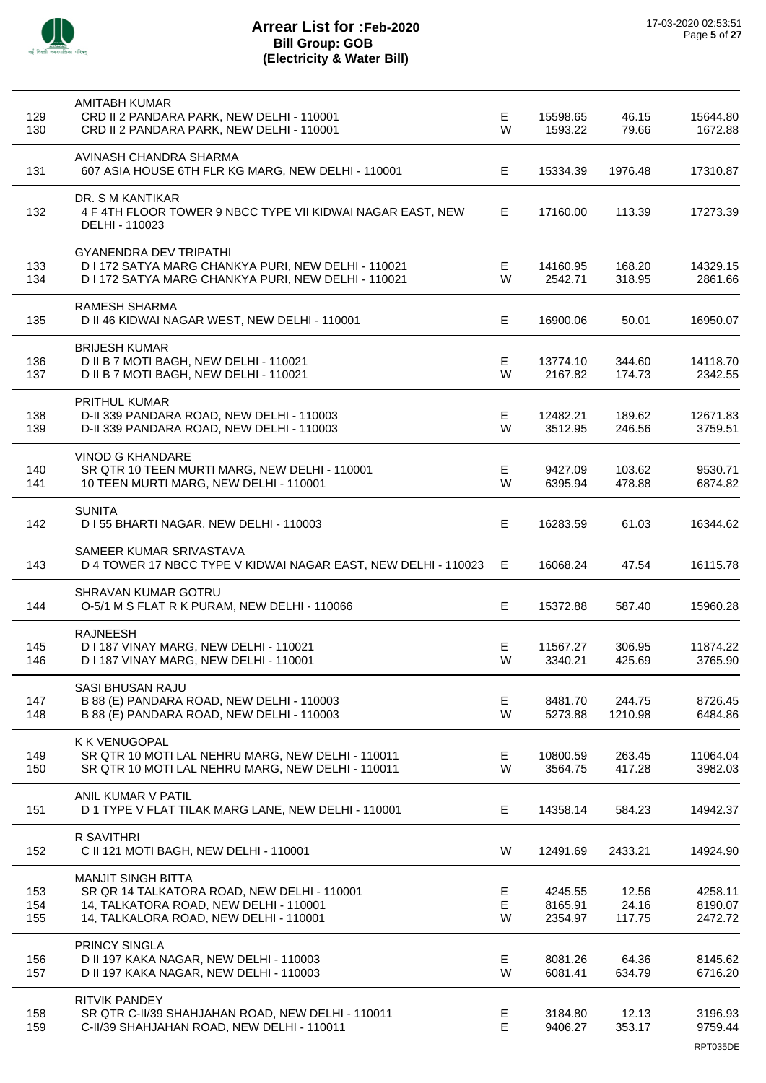

| 129<br>130        | <b>AMITABH KUMAR</b><br>CRD II 2 PANDARA PARK, NEW DELHI - 110001<br>CRD II 2 PANDARA PARK, NEW DELHI - 110001                                               | E<br>W      | 15598.65<br>1593.22           | 46.15<br>79.66           | 15644.80<br>1672.88            |
|-------------------|--------------------------------------------------------------------------------------------------------------------------------------------------------------|-------------|-------------------------------|--------------------------|--------------------------------|
| 131               | AVINASH CHANDRA SHARMA<br>607 ASIA HOUSE 6TH FLR KG MARG, NEW DELHI - 110001                                                                                 | Е           | 15334.39                      | 1976.48                  | 17310.87                       |
| 132               | DR. S M KANTIKAR<br>4 F 4TH FLOOR TOWER 9 NBCC TYPE VII KIDWAI NAGAR EAST, NEW<br>DELHI - 110023                                                             | Е           | 17160.00                      | 113.39                   | 17273.39                       |
| 133<br>134        | <b>GYANENDRA DEV TRIPATHI</b><br>D I 172 SATYA MARG CHANKYA PURI, NEW DELHI - 110021<br>D I 172 SATYA MARG CHANKYA PURI, NEW DELHI - 110021                  | Е<br>W      | 14160.95<br>2542.71           | 168.20<br>318.95         | 14329.15<br>2861.66            |
| 135               | <b>RAMESH SHARMA</b><br>D II 46 KIDWAI NAGAR WEST, NEW DELHI - 110001                                                                                        | E           | 16900.06                      | 50.01                    | 16950.07                       |
| 136<br>137        | <b>BRIJESH KUMAR</b><br>D II B 7 MOTI BAGH, NEW DELHI - 110021<br>D II B 7 MOTI BAGH, NEW DELHI - 110021                                                     | E<br>W      | 13774.10<br>2167.82           | 344.60<br>174.73         | 14118.70<br>2342.55            |
| 138<br>139        | PRITHUL KUMAR<br>D-II 339 PANDARA ROAD, NEW DELHI - 110003<br>D-II 339 PANDARA ROAD, NEW DELHI - 110003                                                      | E<br>W      | 12482.21<br>3512.95           | 189.62<br>246.56         | 12671.83<br>3759.51            |
| 140<br>141        | <b>VINOD G KHANDARE</b><br>SR QTR 10 TEEN MURTI MARG, NEW DELHI - 110001<br>10 TEEN MURTI MARG, NEW DELHI - 110001                                           | E<br>W      | 9427.09<br>6395.94            | 103.62<br>478.88         | 9530.71<br>6874.82             |
| 142               | <b>SUNITA</b><br>D I 55 BHARTI NAGAR, NEW DELHI - 110003                                                                                                     | Е           | 16283.59                      | 61.03                    | 16344.62                       |
| 143               | SAMEER KUMAR SRIVASTAVA<br>D 4 TOWER 17 NBCC TYPE V KIDWAI NAGAR EAST, NEW DELHI - 110023                                                                    | E           | 16068.24                      | 47.54                    | 16115.78                       |
| 144               | SHRAVAN KUMAR GOTRU<br>O-5/1 M S FLAT R K PURAM, NEW DELHI - 110066                                                                                          | Е           | 15372.88                      | 587.40                   | 15960.28                       |
| 145<br>146        | <b>RAJNEESH</b><br>D I 187 VINAY MARG, NEW DELHI - 110021<br>D I 187 VINAY MARG, NEW DELHI - 110001                                                          | Е<br>W      | 11567.27<br>3340.21           | 306.95<br>425.69         | 11874.22<br>3765.90            |
| 147<br>148        | <b>SASI BHUSAN RAJU</b><br>B 88 (E) PANDARA ROAD, NEW DELHI - 110003<br>B 88 (E) PANDARA ROAD, NEW DELHI - 110003                                            | E<br>W      | 8481.70<br>5273.88            | 244.75<br>1210.98        | 8726.45<br>6484.86             |
| 149<br>150        | K K VENUGOPAL<br>SR QTR 10 MOTI LAL NEHRU MARG, NEW DELHI - 110011<br>SR QTR 10 MOTI LAL NEHRU MARG, NEW DELHI - 110011                                      | E<br>W      | 10800.59<br>3564.75           | 263.45<br>417.28         | 11064.04<br>3982.03            |
| 151               | ANIL KUMAR V PATIL<br>D 1 TYPE V FLAT TILAK MARG LANE, NEW DELHI - 110001                                                                                    | Е           | 14358.14                      | 584.23                   | 14942.37                       |
| 152               | R SAVITHRI<br>C II 121 MOTI BAGH, NEW DELHI - 110001                                                                                                         | W           | 12491.69                      | 2433.21                  | 14924.90                       |
| 153<br>154<br>155 | <b>MANJIT SINGH BITTA</b><br>SR QR 14 TALKATORA ROAD, NEW DELHI - 110001<br>14, TALKATORA ROAD, NEW DELHI - 110001<br>14, TALKALORA ROAD, NEW DELHI - 110001 | E<br>Е<br>W | 4245.55<br>8165.91<br>2354.97 | 12.56<br>24.16<br>117.75 | 4258.11<br>8190.07<br>2472.72  |
| 156<br>157        | PRINCY SINGLA<br>D II 197 KAKA NAGAR, NEW DELHI - 110003<br>D II 197 KAKA NAGAR, NEW DELHI - 110003                                                          | E<br>W      | 8081.26<br>6081.41            | 64.36<br>634.79          | 8145.62<br>6716.20             |
| 158<br>159        | RITVIK PANDEY<br>SR QTR C-II/39 SHAHJAHAN ROAD, NEW DELHI - 110011<br>C-II/39 SHAHJAHAN ROAD, NEW DELHI - 110011                                             | Е<br>E      | 3184.80<br>9406.27            | 12.13<br>353.17          | 3196.93<br>9759.44<br>RPT035DE |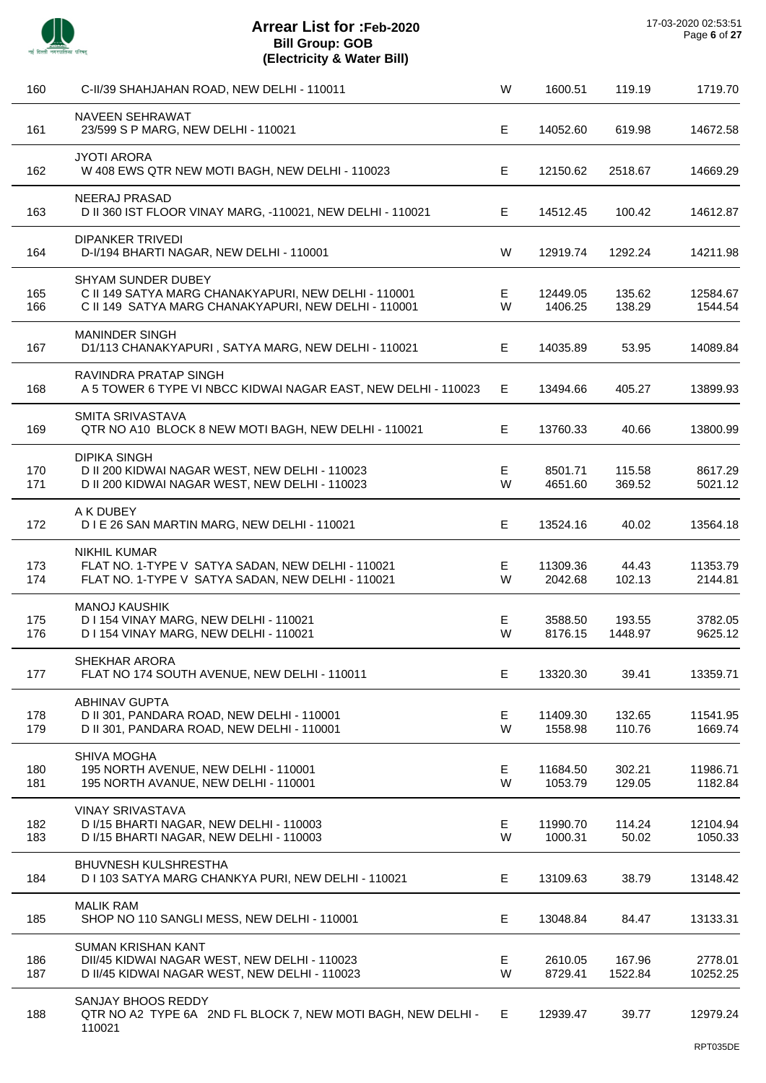

| 160        | C-II/39 SHAHJAHAN ROAD, NEW DELHI - 110011                                                                                         | W       | 1600.51             | 119.19            | 1719.70             |
|------------|------------------------------------------------------------------------------------------------------------------------------------|---------|---------------------|-------------------|---------------------|
| 161        | <b>NAVEEN SEHRAWAT</b><br>23/599 S P MARG, NEW DELHI - 110021                                                                      | E       | 14052.60            | 619.98            | 14672.58            |
| 162        | <b>JYOTI ARORA</b><br>W 408 EWS QTR NEW MOTI BAGH, NEW DELHI - 110023                                                              | E       | 12150.62            | 2518.67           | 14669.29            |
| 163        | <b>NEERAJ PRASAD</b><br>D II 360 IST FLOOR VINAY MARG, -110021, NEW DELHI - 110021                                                 | E       | 14512.45            | 100.42            | 14612.87            |
| 164        | <b>DIPANKER TRIVEDI</b><br>D-I/194 BHARTI NAGAR, NEW DELHI - 110001                                                                | W       | 12919.74            | 1292.24           | 14211.98            |
| 165<br>166 | SHYAM SUNDER DUBEY<br>C II 149 SATYA MARG CHANAKYAPURI, NEW DELHI - 110001<br>C II 149 SATYA MARG CHANAKYAPURI, NEW DELHI - 110001 | Е.<br>W | 12449.05<br>1406.25 | 135.62<br>138.29  | 12584.67<br>1544.54 |
| 167        | <b>MANINDER SINGH</b><br>D1/113 CHANAKYAPURI, SATYA MARG, NEW DELHI - 110021                                                       | Е       | 14035.89            | 53.95             | 14089.84            |
| 168        | <b>RAVINDRA PRATAP SINGH</b><br>A 5 TOWER 6 TYPE VI NBCC KIDWAI NAGAR EAST, NEW DELHI - 110023                                     | E.      | 13494.66            | 405.27            | 13899.93            |
| 169        | SMITA SRIVASTAVA<br>QTR NO A10 BLOCK 8 NEW MOTI BAGH, NEW DELHI - 110021                                                           | E.      | 13760.33            | 40.66             | 13800.99            |
| 170<br>171 | <b>DIPIKA SINGH</b><br>D II 200 KIDWAI NAGAR WEST, NEW DELHI - 110023<br>D II 200 KIDWAI NAGAR WEST, NEW DELHI - 110023            | Е<br>W  | 8501.71<br>4651.60  | 115.58<br>369.52  | 8617.29<br>5021.12  |
| 172        | A K DUBEY<br>D I E 26 SAN MARTIN MARG, NEW DELHI - 110021                                                                          | Е       | 13524.16            | 40.02             | 13564.18            |
| 173<br>174 | <b>NIKHIL KUMAR</b><br>FLAT NO. 1-TYPE V SATYA SADAN, NEW DELHI - 110021<br>FLAT NO. 1-TYPE V SATYA SADAN, NEW DELHI - 110021      | Е<br>W  | 11309.36<br>2042.68 | 44.43<br>102.13   | 11353.79<br>2144.81 |
| 175<br>176 | <b>MANOJ KAUSHIK</b><br>D I 154 VINAY MARG, NEW DELHI - 110021<br>D I 154 VINAY MARG, NEW DELHI - 110021                           | Е<br>W  | 3588.50<br>8176.15  | 193.55<br>1448.97 | 3782.05<br>9625.12  |
| 177        | SHEKHAR ARORA<br>FLAT NO 174 SOUTH AVENUE, NEW DELHI - 110011                                                                      | E       | 13320.30            | 39.41             | 13359.71            |
| 178<br>179 | <b>ABHINAV GUPTA</b><br>D II 301, PANDARA ROAD, NEW DELHI - 110001<br>D II 301, PANDARA ROAD, NEW DELHI - 110001                   | Е<br>W  | 11409.30<br>1558.98 | 132.65<br>110.76  | 11541.95<br>1669.74 |
| 180<br>181 | <b>SHIVA MOGHA</b><br>195 NORTH AVENUE, NEW DELHI - 110001<br>195 NORTH AVANUE, NEW DELHI - 110001                                 | E.<br>W | 11684.50<br>1053.79 | 302.21<br>129.05  | 11986.71<br>1182.84 |
| 182<br>183 | <b>VINAY SRIVASTAVA</b><br>D I/15 BHARTI NAGAR, NEW DELHI - 110003<br>D I/15 BHARTI NAGAR, NEW DELHI - 110003                      | E.<br>W | 11990.70<br>1000.31 | 114.24<br>50.02   | 12104.94<br>1050.33 |
| 184        | <b>BHUVNESH KULSHRESTHA</b><br>D I 103 SATYA MARG CHANKYA PURI, NEW DELHI - 110021                                                 | Е       | 13109.63            | 38.79             | 13148.42            |
| 185        | <b>MALIK RAM</b><br>SHOP NO 110 SANGLI MESS, NEW DELHI - 110001                                                                    | E       | 13048.84            | 84.47             | 13133.31            |
| 186<br>187 | <b>SUMAN KRISHAN KANT</b><br>DII/45 KIDWAI NAGAR WEST, NEW DELHI - 110023<br>D II/45 KIDWAI NAGAR WEST, NEW DELHI - 110023         | Е<br>W  | 2610.05<br>8729.41  | 167.96<br>1522.84 | 2778.01<br>10252.25 |
| 188        | SANJAY BHOOS REDDY<br>QTR NO A2 TYPE 6A 2ND FL BLOCK 7, NEW MOTI BAGH, NEW DELHI -<br>110021                                       | E.      | 12939.47            | 39.77             | 12979.24            |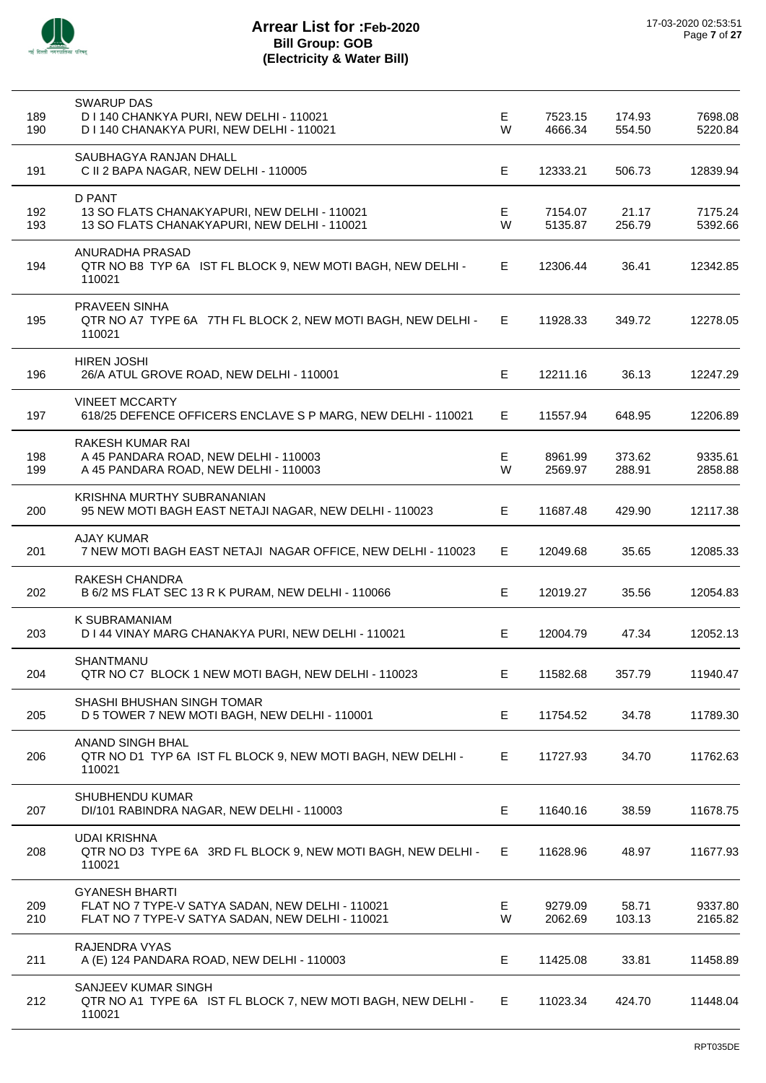

| 189<br>190 | <b>SWARUP DAS</b><br>D I 140 CHANKYA PURI, NEW DELHI - 110021<br>D I 140 CHANAKYA PURI, NEW DELHI - 110021                    | E.<br>W | 7523.15<br>4666.34 | 174.93<br>554.50 | 7698.08<br>5220.84 |
|------------|-------------------------------------------------------------------------------------------------------------------------------|---------|--------------------|------------------|--------------------|
| 191        | SAUBHAGYA RANJAN DHALL<br>C II 2 BAPA NAGAR, NEW DELHI - 110005                                                               | Е       | 12333.21           | 506.73           | 12839.94           |
| 192<br>193 | <b>D PANT</b><br>13 SO FLATS CHANAKYAPURI, NEW DELHI - 110021<br>13 SO FLATS CHANAKYAPURI, NEW DELHI - 110021                 | Е<br>W  | 7154.07<br>5135.87 | 21.17<br>256.79  | 7175.24<br>5392.66 |
| 194        | ANURADHA PRASAD<br>QTR NO B8 TYP 6A IST FL BLOCK 9, NEW MOTI BAGH, NEW DELHI -<br>110021                                      | Е       | 12306.44           | 36.41            | 12342.85           |
| 195        | <b>PRAVEEN SINHA</b><br>QTR NO A7 TYPE 6A 7TH FL BLOCK 2, NEW MOTI BAGH, NEW DELHI -<br>110021                                | Е       | 11928.33           | 349.72           | 12278.05           |
| 196        | <b>HIREN JOSHI</b><br>26/A ATUL GROVE ROAD, NEW DELHI - 110001                                                                | Е       | 12211.16           | 36.13            | 12247.29           |
| 197        | <b>VINEET MCCARTY</b><br>618/25 DEFENCE OFFICERS ENCLAVE S P MARG, NEW DELHI - 110021                                         | Е       | 11557.94           | 648.95           | 12206.89           |
| 198<br>199 | RAKESH KUMAR RAI<br>A 45 PANDARA ROAD, NEW DELHI - 110003<br>A 45 PANDARA ROAD, NEW DELHI - 110003                            | E<br>W  | 8961.99<br>2569.97 | 373.62<br>288.91 | 9335.61<br>2858.88 |
| 200        | KRISHNA MURTHY SUBRANANIAN<br>95 NEW MOTI BAGH EAST NETAJI NAGAR, NEW DELHI - 110023                                          | Е       | 11687.48           | 429.90           | 12117.38           |
| 201        | <b>AJAY KUMAR</b><br>7 NEW MOTI BAGH EAST NETAJI NAGAR OFFICE, NEW DELHI - 110023                                             | Е       | 12049.68           | 35.65            | 12085.33           |
| 202        | <b>RAKESH CHANDRA</b><br>B 6/2 MS FLAT SEC 13 R K PURAM, NEW DELHI - 110066                                                   | Е       | 12019.27           | 35.56            | 12054.83           |
| 203        | K SUBRAMANIAM<br>D I 44 VINAY MARG CHANAKYA PURI, NEW DELHI - 110021                                                          | Е       | 12004.79           | 47.34            | 12052.13           |
| 204        | SHANTMANU<br>QTR NO C7 BLOCK 1 NEW MOTI BAGH, NEW DELHI - 110023                                                              | Е,      | 11582.68           | 357.79           | 11940.47           |
| 205        | SHASHI BHUSHAN SINGH TOMAR<br>D 5 TOWER 7 NEW MOTI BAGH, NEW DELHI - 110001                                                   | Е       | 11754.52           | 34.78            | 11789.30           |
| 206        | ANAND SINGH BHAL<br>QTR NO D1 TYP 6A IST FL BLOCK 9, NEW MOTI BAGH, NEW DELHI -<br>110021                                     | Е       | 11727.93           | 34.70            | 11762.63           |
| 207        | SHUBHENDU KUMAR<br>DI/101 RABINDRA NAGAR, NEW DELHI - 110003                                                                  | E       | 11640.16           | 38.59            | 11678.75           |
| 208        | <b>UDAI KRISHNA</b><br>QTR NO D3 TYPE 6A 3RD FL BLOCK 9, NEW MOTI BAGH, NEW DELHI -<br>110021                                 | Е       | 11628.96           | 48.97            | 11677.93           |
| 209<br>210 | <b>GYANESH BHARTI</b><br>FLAT NO 7 TYPE-V SATYA SADAN, NEW DELHI - 110021<br>FLAT NO 7 TYPE-V SATYA SADAN, NEW DELHI - 110021 | Е<br>W  | 9279.09<br>2062.69 | 58.71<br>103.13  | 9337.80<br>2165.82 |
| 211        | RAJENDRA VYAS<br>A (E) 124 PANDARA ROAD, NEW DELHI - 110003                                                                   | Е       | 11425.08           | 33.81            | 11458.89           |
| 212        | SANJEEV KUMAR SINGH<br>QTR NO A1 TYPE 6A IST FL BLOCK 7, NEW MOTI BAGH, NEW DELHI -<br>110021                                 | E       | 11023.34           | 424.70           | 11448.04           |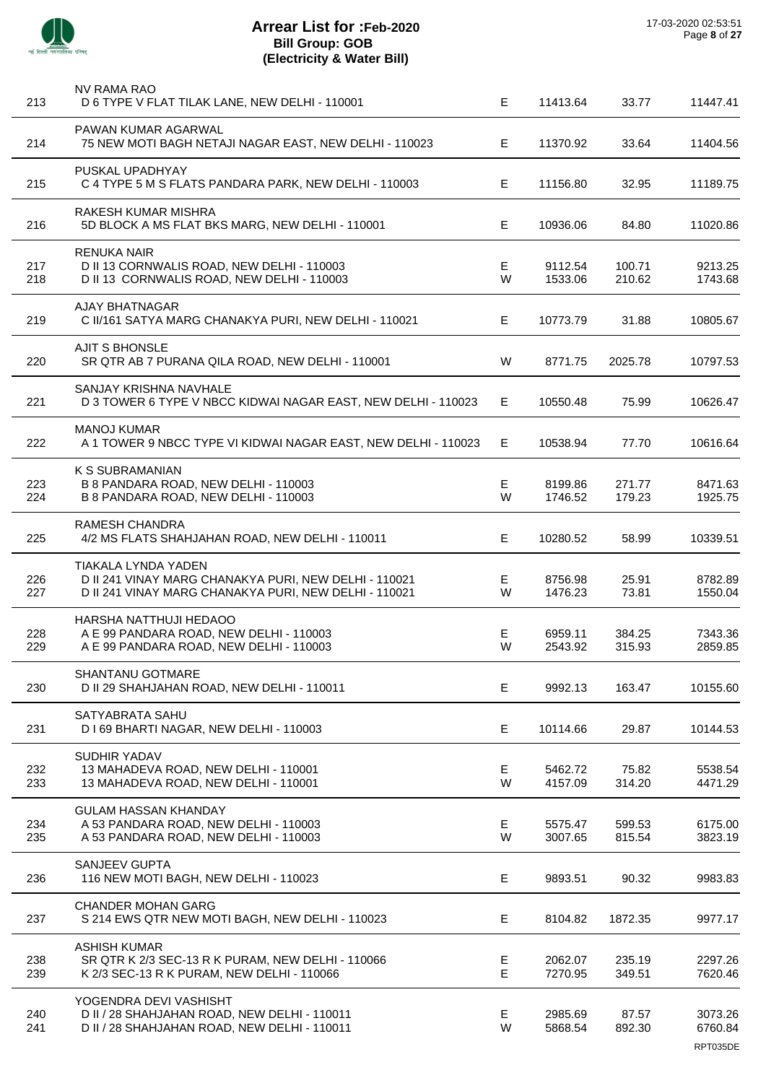|            | NV RAMA RAO                                                                                                                                  |        |                    |                  |                                |
|------------|----------------------------------------------------------------------------------------------------------------------------------------------|--------|--------------------|------------------|--------------------------------|
| 213        | D 6 TYPE V FLAT TILAK LANE, NEW DELHI - 110001                                                                                               | E.     | 11413.64           | 33.77            | 11447.41                       |
| 214        | PAWAN KUMAR AGARWAL<br>75 NEW MOTI BAGH NETAJI NAGAR EAST, NEW DELHI - 110023                                                                | E      | 11370.92           | 33.64            | 11404.56                       |
| 215        | PUSKAL UPADHYAY<br>C 4 TYPE 5 M S FLATS PANDARA PARK, NEW DELHI - 110003                                                                     | Е      | 11156.80           | 32.95            | 11189.75                       |
| 216        | RAKESH KUMAR MISHRA<br>5D BLOCK A MS FLAT BKS MARG, NEW DELHI - 110001                                                                       | Е      | 10936.06           | 84.80            | 11020.86                       |
| 217<br>218 | <b>RENUKA NAIR</b><br>D II 13 CORNWALIS ROAD, NEW DELHI - 110003<br>D II 13 CORNWALIS ROAD, NEW DELHI - 110003                               | Е<br>W | 9112.54<br>1533.06 | 100.71<br>210.62 | 9213.25<br>1743.68             |
| 219        | <b>AJAY BHATNAGAR</b><br>C II/161 SATYA MARG CHANAKYA PURI, NEW DELHI - 110021                                                               | E.     | 10773.79           | 31.88            | 10805.67                       |
| 220        | <b>AJIT S BHONSLE</b><br>SR QTR AB 7 PURANA QILA ROAD, NEW DELHI - 110001                                                                    | W      | 8771.75            | 2025.78          | 10797.53                       |
| 221        | SANJAY KRISHNA NAVHALE<br>D 3 TOWER 6 TYPE V NBCC KIDWAI NAGAR EAST, NEW DELHI - 110023                                                      | Е      | 10550.48           | 75.99            | 10626.47                       |
| 222        | <b>MANOJ KUMAR</b><br>A 1 TOWER 9 NBCC TYPE VI KIDWAI NAGAR EAST, NEW DELHI - 110023                                                         | E.     | 10538.94           | 77.70            | 10616.64                       |
| 223<br>224 | K S SUBRAMANIAN<br>B 8 PANDARA ROAD, NEW DELHI - 110003<br>B 8 PANDARA ROAD, NEW DELHI - 110003                                              | E<br>W | 8199.86<br>1746.52 | 271.77<br>179.23 | 8471.63<br>1925.75             |
| 225        | <b>RAMESH CHANDRA</b><br>4/2 MS FLATS SHAHJAHAN ROAD, NEW DELHI - 110011                                                                     | E.     | 10280.52           | 58.99            | 10339.51                       |
| 226<br>227 | <b>TIAKALA LYNDA YADEN</b><br>D II 241 VINAY MARG CHANAKYA PURI, NEW DELHI - 110021<br>D II 241 VINAY MARG CHANAKYA PURI, NEW DELHI - 110021 | Е<br>W | 8756.98<br>1476.23 | 25.91<br>73.81   | 8782.89<br>1550.04             |
| 228<br>229 | HARSHA NATTHUJI HEDAOO<br>A E 99 PANDARA ROAD, NEW DELHI - 110003<br>A E 99 PANDARA ROAD, NEW DELHI - 110003                                 | Е<br>W | 6959.11<br>2543.92 | 384.25<br>315.93 | 7343.36<br>2859.85             |
| 230        | SHANTANU GOTMARE<br>D II 29 SHAHJAHAN ROAD, NEW DELHI - 110011                                                                               | E      | 9992.13            | 163.47           | 10155.60                       |
| 231        | SATYABRATA SAHU<br>D I 69 BHARTI NAGAR, NEW DELHI - 110003                                                                                   | E.     | 10114.66           | 29.87            | 10144.53                       |
| 232<br>233 | SUDHIR YADAV<br>13 MAHADEVA ROAD, NEW DELHI - 110001<br>13 MAHADEVA ROAD, NEW DELHI - 110001                                                 | Е<br>W | 5462.72<br>4157.09 | 75.82<br>314.20  | 5538.54<br>4471.29             |
| 234<br>235 | <b>GULAM HASSAN KHANDAY</b><br>A 53 PANDARA ROAD, NEW DELHI - 110003<br>A 53 PANDARA ROAD, NEW DELHI - 110003                                | E<br>W | 5575.47<br>3007.65 | 599.53<br>815.54 | 6175.00<br>3823.19             |
| 236        | <b>SANJEEV GUPTA</b><br>116 NEW MOTI BAGH, NEW DELHI - 110023                                                                                | Е      | 9893.51            | 90.32            | 9983.83                        |
| 237        | <b>CHANDER MOHAN GARG</b><br>S 214 EWS QTR NEW MOTI BAGH, NEW DELHI - 110023                                                                 | Е      | 8104.82            | 1872.35          | 9977.17                        |
| 238<br>239 | <b>ASHISH KUMAR</b><br>SR QTR K 2/3 SEC-13 R K PURAM, NEW DELHI - 110066<br>K 2/3 SEC-13 R K PURAM, NEW DELHI - 110066                       | Е<br>E | 2062.07<br>7270.95 | 235.19<br>349.51 | 2297.26<br>7620.46             |
| 240<br>241 | YOGENDRA DEVI VASHISHT<br>D II / 28 SHAHJAHAN ROAD, NEW DELHI - 110011<br>D II / 28 SHAHJAHAN ROAD, NEW DELHI - 110011                       | Е<br>W | 2985.69<br>5868.54 | 87.57<br>892.30  | 3073.26<br>6760.84<br>RPT035DE |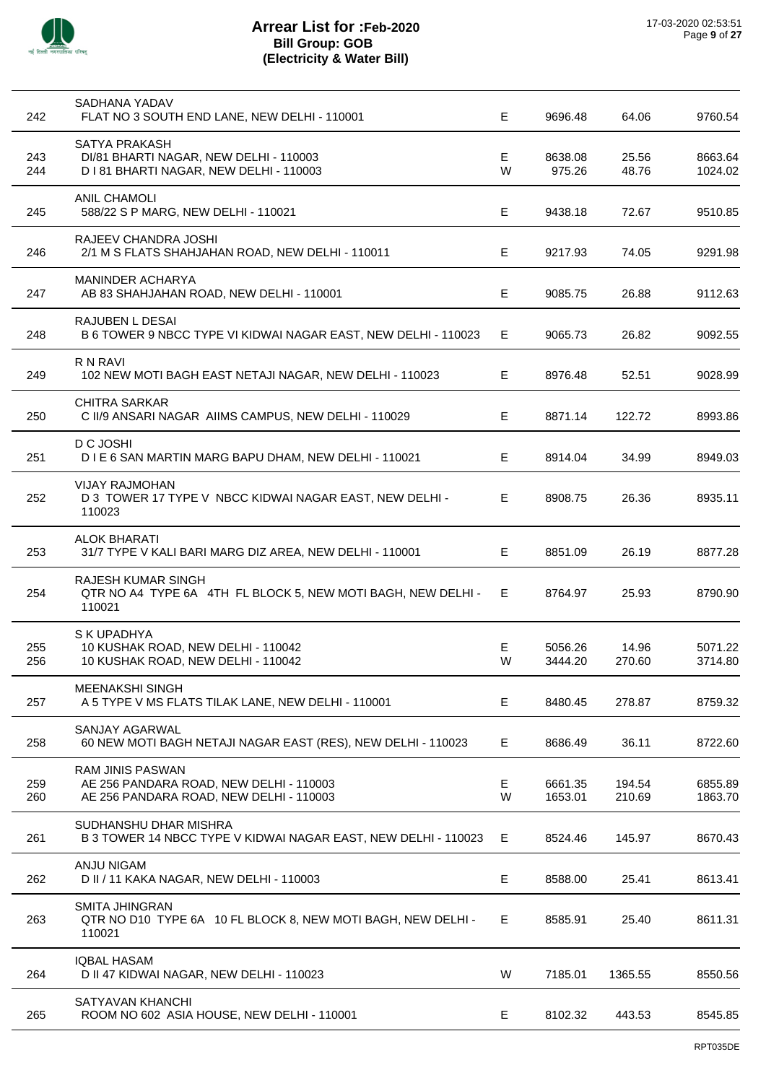

| 242        | SADHANA YADAV<br>FLAT NO 3 SOUTH END LANE, NEW DELHI - 110001                                                 | E       | 9696.48            | 64.06            | 9760.54            |
|------------|---------------------------------------------------------------------------------------------------------------|---------|--------------------|------------------|--------------------|
| 243<br>244 | SATYA PRAKASH<br>DI/81 BHARTI NAGAR, NEW DELHI - 110003<br>D I 81 BHARTI NAGAR, NEW DELHI - 110003            | E.<br>W | 8638.08<br>975.26  | 25.56<br>48.76   | 8663.64<br>1024.02 |
| 245        | <b>ANIL CHAMOLI</b><br>588/22 S P MARG, NEW DELHI - 110021                                                    | E.      | 9438.18            | 72.67            | 9510.85            |
| 246        | RAJEEV CHANDRA JOSHI<br>2/1 M S FLATS SHAHJAHAN ROAD, NEW DELHI - 110011                                      | E.      | 9217.93            | 74.05            | 9291.98            |
| 247        | MANINDER ACHARYA<br>AB 83 SHAHJAHAN ROAD, NEW DELHI - 110001                                                  | Е       | 9085.75            | 26.88            | 9112.63            |
| 248        | RAJUBEN L DESAI<br>B 6 TOWER 9 NBCC TYPE VI KIDWAI NAGAR EAST, NEW DELHI - 110023                             | E.      | 9065.73            | 26.82            | 9092.55            |
| 249        | R N RAVI<br>102 NEW MOTI BAGH EAST NETAJI NAGAR, NEW DELHI - 110023                                           | E.      | 8976.48            | 52.51            | 9028.99            |
| 250        | <b>CHITRA SARKAR</b><br>C II/9 ANSARI NAGAR AIIMS CAMPUS, NEW DELHI - 110029                                  | E       | 8871.14            | 122.72           | 8993.86            |
| 251        | D C JOSHI<br>D I E 6 SAN MARTIN MARG BAPU DHAM, NEW DELHI - 110021                                            | E.      | 8914.04            | 34.99            | 8949.03            |
| 252        | <b>VIJAY RAJMOHAN</b><br>D 3 TOWER 17 TYPE V NBCC KIDWAI NAGAR EAST, NEW DELHI -<br>110023                    | E.      | 8908.75            | 26.36            | 8935.11            |
| 253        | ALOK BHARATI<br>31/7 TYPE V KALI BARI MARG DIZ AREA, NEW DELHI - 110001                                       | E.      | 8851.09            | 26.19            | 8877.28            |
| 254        | RAJESH KUMAR SINGH<br>QTR NO A4 TYPE 6A 4TH FL BLOCK 5, NEW MOTI BAGH, NEW DELHI -<br>110021                  | Е.      | 8764.97            | 25.93            | 8790.90            |
| 255<br>256 | S K UPADHYA<br>10 KUSHAK ROAD, NEW DELHI - 110042<br>10 KUSHAK ROAD, NEW DELHI - 110042                       | Е<br>W  | 5056.26<br>3444.20 | 14.96<br>270.60  | 5071.22<br>3714.80 |
| 257        | <b>MEENAKSHI SINGH</b><br>A 5 TYPE V MS FLATS TILAK LANE, NEW DELHI - 110001                                  | E       | 8480.45            | 278.87           | 8759.32            |
| 258        | SANJAY AGARWAL<br>60 NEW MOTI BAGH NETAJI NAGAR EAST (RES), NEW DELHI - 110023                                | Е.      | 8686.49            | 36.11            | 8722.60            |
| 259<br>260 | <b>RAM JINIS PASWAN</b><br>AE 256 PANDARA ROAD, NEW DELHI - 110003<br>AE 256 PANDARA ROAD, NEW DELHI - 110003 | Е<br>W  | 6661.35<br>1653.01 | 194.54<br>210.69 | 6855.89<br>1863.70 |
| 261        | SUDHANSHU DHAR MISHRA<br>B 3 TOWER 14 NBCC TYPE V KIDWAI NAGAR EAST, NEW DELHI - 110023                       | E.      | 8524.46            | 145.97           | 8670.43            |
| 262        | ANJU NIGAM<br>D II / 11 KAKA NAGAR, NEW DELHI - 110003                                                        | Е       | 8588.00            | 25.41            | 8613.41            |
| 263        | <b>SMITA JHINGRAN</b><br>QTR NO D10 TYPE 6A 10 FL BLOCK 8, NEW MOTI BAGH, NEW DELHI -<br>110021               | E       | 8585.91            | 25.40            | 8611.31            |
| 264        | <b>IQBAL HASAM</b><br>D II 47 KIDWAI NAGAR, NEW DELHI - 110023                                                | W       | 7185.01            | 1365.55          | 8550.56            |
| 265        | SATYAVAN KHANCHI<br>ROOM NO 602 ASIA HOUSE, NEW DELHI - 110001                                                | E       | 8102.32            | 443.53           | 8545.85            |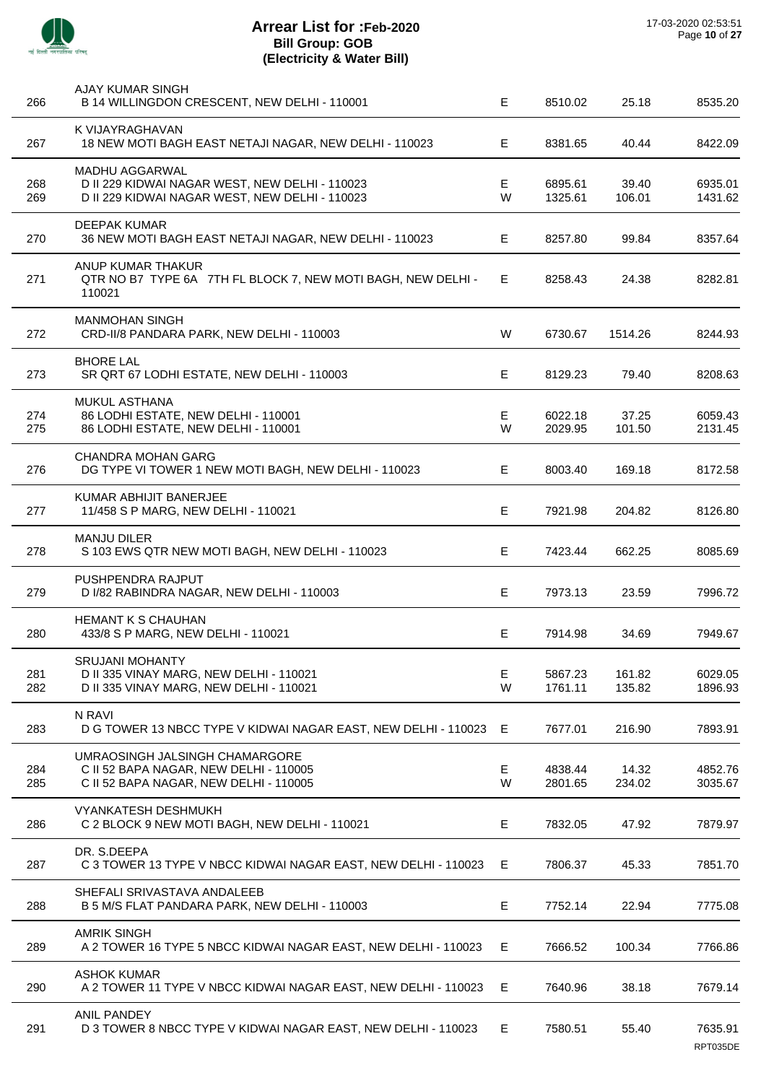

| 266        | AJAY KUMAR SINGH<br>B 14 WILLINGDON CRESCENT, NEW DELHI - 110001                                                   | E      | 8510.02            | 25.18            | 8535.20             |
|------------|--------------------------------------------------------------------------------------------------------------------|--------|--------------------|------------------|---------------------|
| 267        | K VIJAYRAGHAVAN<br>18 NEW MOTI BAGH EAST NETAJI NAGAR, NEW DELHI - 110023                                          | E.     | 8381.65            | 40.44            | 8422.09             |
| 268<br>269 | MADHU AGGARWAL<br>D II 229 KIDWAI NAGAR WEST, NEW DELHI - 110023<br>D II 229 KIDWAI NAGAR WEST, NEW DELHI - 110023 | Е<br>W | 6895.61<br>1325.61 | 39.40<br>106.01  | 6935.01<br>1431.62  |
| 270        | <b>DEEPAK KUMAR</b><br>36 NEW MOTI BAGH EAST NETAJI NAGAR, NEW DELHI - 110023                                      | E.     | 8257.80            | 99.84            | 8357.64             |
| 271        | ANUP KUMAR THAKUR<br>QTR NO B7 TYPE 6A 7TH FL BLOCK 7, NEW MOTI BAGH, NEW DELHI -<br>110021                        | E.     | 8258.43            | 24.38            | 8282.81             |
| 272        | <b>MANMOHAN SINGH</b><br>CRD-II/8 PANDARA PARK, NEW DELHI - 110003                                                 | W      | 6730.67            | 1514.26          | 8244.93             |
| 273        | <b>BHORE LAL</b><br>SR QRT 67 LODHI ESTATE, NEW DELHI - 110003                                                     | E      | 8129.23            | 79.40            | 8208.63             |
| 274<br>275 | MUKUL ASTHANA<br>86 LODHI ESTATE, NEW DELHI - 110001<br>86 LODHI ESTATE, NEW DELHI - 110001                        | Е<br>W | 6022.18<br>2029.95 | 37.25<br>101.50  | 6059.43<br>2131.45  |
| 276        | <b>CHANDRA MOHAN GARG</b><br>DG TYPE VI TOWER 1 NEW MOTI BAGH, NEW DELHI - 110023                                  | E      | 8003.40            | 169.18           | 8172.58             |
| 277        | KUMAR ABHIJIT BANERJEE<br>11/458 S P MARG, NEW DELHI - 110021                                                      | Е      | 7921.98            | 204.82           | 8126.80             |
| 278        | <b>MANJU DILER</b><br>S 103 EWS QTR NEW MOTI BAGH, NEW DELHI - 110023                                              | Е      | 7423.44            | 662.25           | 8085.69             |
| 279        | PUSHPENDRA RAJPUT<br>D I/82 RABINDRA NAGAR, NEW DELHI - 110003                                                     | E      | 7973.13            | 23.59            | 7996.72             |
| 280        | HEMANT K S CHAUHAN<br>433/8 S P MARG, NEW DELHI - 110021                                                           | Е      | 7914.98            | 34.69            | 7949.67             |
| 281<br>282 | <b>SRUJANI MOHANTY</b><br>D II 335 VINAY MARG, NEW DELHI - 110021<br>D II 335 VINAY MARG, NEW DELHI - 110021       | E<br>W | 5867.23<br>1761.11 | 161.82<br>135.82 | 6029.05<br>1896.93  |
| 283        | N RAVI<br>D G TOWER 13 NBCC TYPE V KIDWAI NAGAR EAST, NEW DELHI - 110023 E                                         |        | 7677.01            | 216.90           | 7893.91             |
| 284<br>285 | UMRAOSINGH JALSINGH CHAMARGORE<br>C II 52 BAPA NAGAR, NEW DELHI - 110005<br>C II 52 BAPA NAGAR, NEW DELHI - 110005 | Е<br>W | 4838.44<br>2801.65 | 14.32<br>234.02  | 4852.76<br>3035.67  |
| 286        | <b>VYANKATESH DESHMUKH</b><br>C 2 BLOCK 9 NEW MOTI BAGH, NEW DELHI - 110021                                        | Е      | 7832.05            | 47.92            | 7879.97             |
| 287        | DR. S.DEEPA<br>C 3 TOWER 13 TYPE V NBCC KIDWAI NAGAR EAST, NEW DELHI - 110023                                      | E      | 7806.37            | 45.33            | 7851.70             |
| 288        | SHEFALI SRIVASTAVA ANDALEEB<br>B 5 M/S FLAT PANDARA PARK, NEW DELHI - 110003                                       | Е      | 7752.14            | 22.94            | 7775.08             |
| 289        | <b>AMRIK SINGH</b><br>A 2 TOWER 16 TYPE 5 NBCC KIDWAI NAGAR EAST, NEW DELHI - 110023                               | E      | 7666.52            | 100.34           | 7766.86             |
| 290        | <b>ASHOK KUMAR</b><br>A 2 TOWER 11 TYPE V NBCC KIDWAI NAGAR EAST, NEW DELHI - 110023                               | E      | 7640.96            | 38.18            | 7679.14             |
| 291        | <b>ANIL PANDEY</b><br>D 3 TOWER 8 NBCC TYPE V KIDWAI NAGAR EAST, NEW DELHI - 110023                                | E.     | 7580.51            | 55.40            | 7635.91<br>RPT035DE |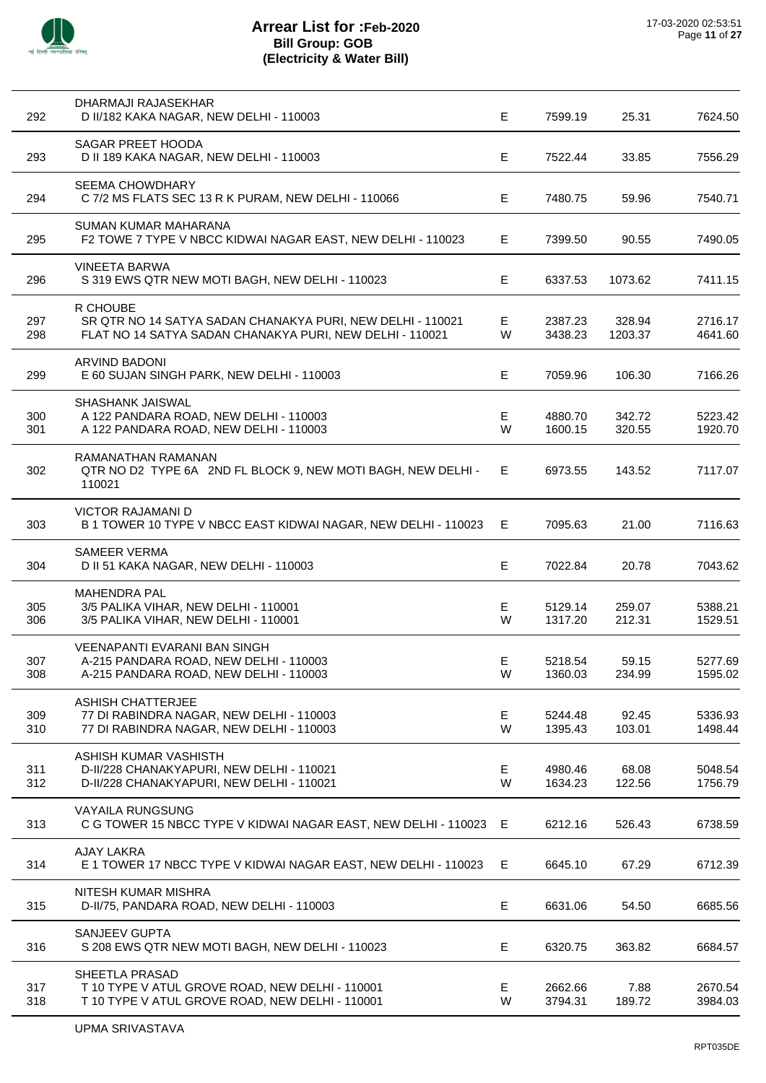

l,

l,

| 292        | DHARMAJI RAJASEKHAR<br>D II/182 KAKA NAGAR, NEW DELHI - 110003                                                                     | Е       | 7599.19            | 25.31             | 7624.50            |
|------------|------------------------------------------------------------------------------------------------------------------------------------|---------|--------------------|-------------------|--------------------|
| 293        | SAGAR PREET HOODA<br>D II 189 KAKA NAGAR, NEW DELHI - 110003                                                                       | E       | 7522.44            | 33.85             | 7556.29            |
| 294        | <b>SEEMA CHOWDHARY</b><br>C 7/2 MS FLATS SEC 13 R K PURAM, NEW DELHI - 110066                                                      | E.      | 7480.75            | 59.96             | 7540.71            |
| 295        | SUMAN KUMAR MAHARANA<br>F2 TOWE 7 TYPE V NBCC KIDWAI NAGAR EAST, NEW DELHI - 110023                                                | Е       | 7399.50            | 90.55             | 7490.05            |
| 296        | <b>VINEETA BARWA</b><br>S 319 EWS QTR NEW MOTI BAGH, NEW DELHI - 110023                                                            | E       | 6337.53            | 1073.62           | 7411.15            |
| 297<br>298 | R CHOUBE<br>SR QTR NO 14 SATYA SADAN CHANAKYA PURI, NEW DELHI - 110021<br>FLAT NO 14 SATYA SADAN CHANAKYA PURI, NEW DELHI - 110021 | E<br>W  | 2387.23<br>3438.23 | 328.94<br>1203.37 | 2716.17<br>4641.60 |
| 299        | <b>ARVIND BADONI</b><br>E 60 SUJAN SINGH PARK, NEW DELHI - 110003                                                                  | E       | 7059.96            | 106.30            | 7166.26            |
| 300<br>301 | SHASHANK JAISWAL<br>A 122 PANDARA ROAD, NEW DELHI - 110003<br>A 122 PANDARA ROAD, NEW DELHI - 110003                               | E<br>W  | 4880.70<br>1600.15 | 342.72<br>320.55  | 5223.42<br>1920.70 |
| 302        | RAMANATHAN RAMANAN<br>QTR NO D2 TYPE 6A 2ND FL BLOCK 9, NEW MOTI BAGH, NEW DELHI -<br>110021                                       | Е       | 6973.55            | 143.52            | 7117.07            |
| 303        | <b>VICTOR RAJAMANI D</b><br>B 1 TOWER 10 TYPE V NBCC EAST KIDWAI NAGAR, NEW DELHI - 110023                                         | Е       | 7095.63            | 21.00             | 7116.63            |
| 304        | <b>SAMEER VERMA</b><br>D II 51 KAKA NAGAR, NEW DELHI - 110003                                                                      | E       | 7022.84            | 20.78             | 7043.62            |
| 305<br>306 | <b>MAHENDRA PAL</b><br>3/5 PALIKA VIHAR, NEW DELHI - 110001<br>3/5 PALIKA VIHAR, NEW DELHI - 110001                                | E<br>W  | 5129.14<br>1317.20 | 259.07<br>212.31  | 5388.21<br>1529.51 |
| 307<br>308 | <b>VEENAPANTI EVARANI BAN SINGH</b><br>A-215 PANDARA ROAD, NEW DELHI - 110003<br>A-215 PANDARA ROAD, NEW DELHI - 110003            | Е<br>W  | 5218.54<br>1360.03 | 59.15<br>234.99   | 5277.69<br>1595.02 |
| 309<br>310 | <b>ASHISH CHATTERJEE</b><br>77 DI RABINDRA NAGAR, NEW DELHI - 110003<br>77 DI RABINDRA NAGAR, NEW DELHI - 110003                   | Е<br>W  | 5244.48<br>1395.43 | 92.45<br>103.01   | 5336.93<br>1498.44 |
| 311<br>312 | ASHISH KUMAR VASHISTH<br>D-II/228 CHANAKYAPURI, NEW DELHI - 110021<br>D-II/228 CHANAKYAPURI, NEW DELHI - 110021                    | E<br>W  | 4980.46<br>1634.23 | 68.08<br>122.56   | 5048.54<br>1756.79 |
| 313        | <b>VAYAILA RUNGSUNG</b><br>C G TOWER 15 NBCC TYPE V KIDWAI NAGAR EAST, NEW DELHI - 110023 E                                        |         | 6212.16            | 526.43            | 6738.59            |
| 314        | <b>AJAY LAKRA</b><br>E 1 TOWER 17 NBCC TYPE V KIDWAI NAGAR EAST, NEW DELHI - 110023                                                | Е       | 6645.10            | 67.29             | 6712.39            |
| 315        | NITESH KUMAR MISHRA<br>D-II/75, PANDARA ROAD, NEW DELHI - 110003                                                                   | Е       | 6631.06            | 54.50             | 6685.56            |
| 316        | SANJEEV GUPTA<br>S 208 EWS QTR NEW MOTI BAGH, NEW DELHI - 110023                                                                   | Е       | 6320.75            | 363.82            | 6684.57            |
| 317<br>318 | SHEETLA PRASAD<br>T 10 TYPE V ATUL GROVE ROAD, NEW DELHI - 110001<br>T 10 TYPE V ATUL GROVE ROAD, NEW DELHI - 110001               | E.<br>W | 2662.66<br>3794.31 | 7.88<br>189.72    | 2670.54<br>3984.03 |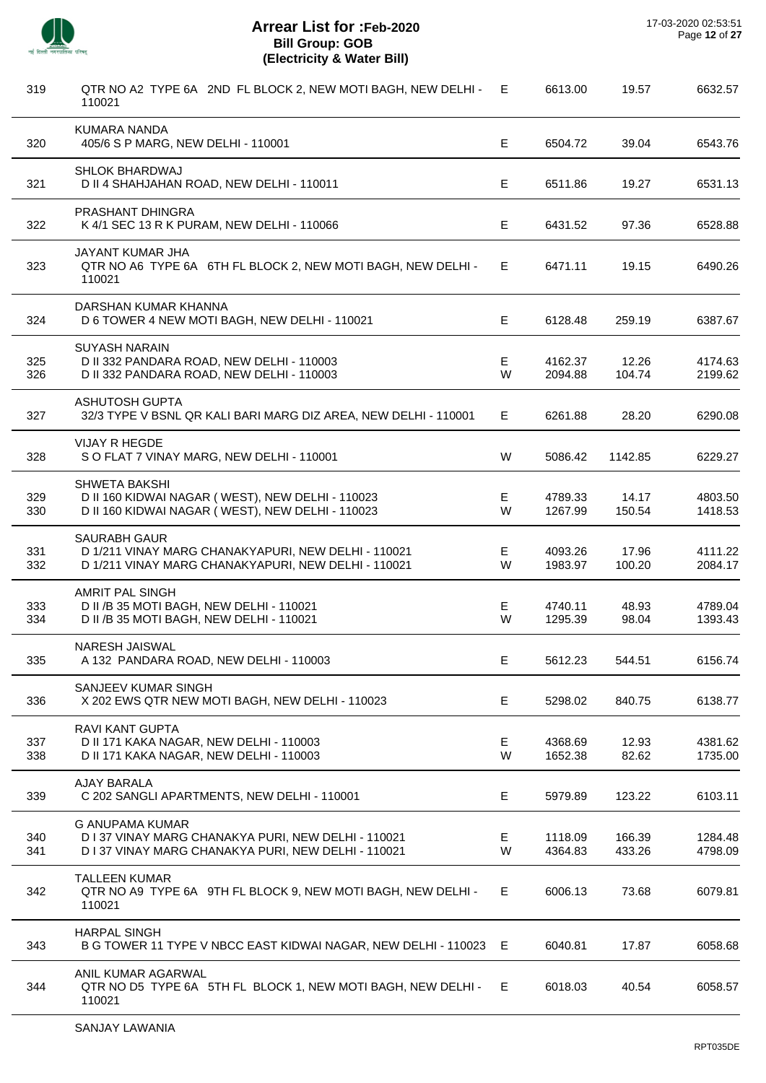

J.

J.

 $\overline{a}$ 

l,

 $\overline{a}$ 

l,

 $\overline{a}$ 

l,

| 319        | QTR NO A2 TYPE 6A 2ND FL BLOCK 2, NEW MOTI BAGH, NEW DELHI -<br>110021                                                               | Е       | 6613.00            | 19.57            | 6632.57            |
|------------|--------------------------------------------------------------------------------------------------------------------------------------|---------|--------------------|------------------|--------------------|
| 320        | <b>KUMARA NANDA</b><br>405/6 S P MARG, NEW DELHI - 110001                                                                            | E       | 6504.72            | 39.04            | 6543.76            |
| 321        | <b>SHLOK BHARDWAJ</b><br>D II 4 SHAHJAHAN ROAD, NEW DELHI - 110011                                                                   | Е       | 6511.86            | 19.27            | 6531.13            |
| 322        | PRASHANT DHINGRA<br>K 4/1 SEC 13 R K PURAM, NEW DELHI - 110066                                                                       | Е       | 6431.52            | 97.36            | 6528.88            |
| 323        | JAYANT KUMAR JHA<br>QTR NO A6 TYPE 6A 6TH FL BLOCK 2, NEW MOTI BAGH, NEW DELHI -<br>110021                                           | E.      | 6471.11            | 19.15            | 6490.26            |
| 324        | DARSHAN KUMAR KHANNA<br>D 6 TOWER 4 NEW MOTI BAGH, NEW DELHI - 110021                                                                | E       | 6128.48            | 259.19           | 6387.67            |
| 325<br>326 | <b>SUYASH NARAIN</b><br>D II 332 PANDARA ROAD, NEW DELHI - 110003<br>D II 332 PANDARA ROAD, NEW DELHI - 110003                       | Е<br>W  | 4162.37<br>2094.88 | 12.26<br>104.74  | 4174.63<br>2199.62 |
| 327        | <b>ASHUTOSH GUPTA</b><br>32/3 TYPE V BSNL QR KALI BARI MARG DIZ AREA, NEW DELHI - 110001                                             | E.      | 6261.88            | 28.20            | 6290.08            |
| 328        | <b>VIJAY R HEGDE</b><br>S O FLAT 7 VINAY MARG, NEW DELHI - 110001                                                                    | W       | 5086.42            | 1142.85          | 6229.27            |
| 329<br>330 | <b>SHWETA BAKSHI</b><br>D II 160 KIDWAI NAGAR (WEST), NEW DELHI - 110023<br>D II 160 KIDWAI NAGAR (WEST), NEW DELHI - 110023         | E.<br>W | 4789.33<br>1267.99 | 14.17<br>150.54  | 4803.50<br>1418.53 |
| 331<br>332 | <b>SAURABH GAUR</b><br>D 1/211 VINAY MARG CHANAKYAPURI, NEW DELHI - 110021<br>D 1/211 VINAY MARG CHANAKYAPURI, NEW DELHI - 110021    | E<br>W  | 4093.26<br>1983.97 | 17.96<br>100.20  | 4111.22<br>2084.17 |
| 333<br>334 | AMRIT PAL SINGH<br>D II /B 35 MOTI BAGH, NEW DELHI - 110021<br>D II /B 35 MOTI BAGH, NEW DELHI - 110021                              | Е<br>W  | 4740.11<br>1295.39 | 48.93<br>98.04   | 4789.04<br>1393.43 |
| 335        | NARESH JAISWAL<br>A 132 PANDARA ROAD, NEW DELHI - 110003                                                                             | Е       | 5612.23            | 544.51           | 6156.74            |
| 336        | SANJEEV KUMAR SINGH<br>X 202 EWS QTR NEW MOTI BAGH, NEW DELHI - 110023                                                               | Е       | 5298.02            | 840.75           | 6138.77            |
| 337<br>338 | RAVI KANT GUPTA<br>D II 171 KAKA NAGAR, NEW DELHI - 110003<br>D II 171 KAKA NAGAR, NEW DELHI - 110003                                | E.<br>W | 4368.69<br>1652.38 | 12.93<br>82.62   | 4381.62<br>1735.00 |
| 339        | <b>AJAY BARALA</b><br>C 202 SANGLI APARTMENTS, NEW DELHI - 110001                                                                    | Е       | 5979.89            | 123.22           | 6103.11            |
| 340<br>341 | <b>G ANUPAMA KUMAR</b><br>D I 37 VINAY MARG CHANAKYA PURI, NEW DELHI - 110021<br>D I 37 VINAY MARG CHANAKYA PURI, NEW DELHI - 110021 | E.<br>W | 1118.09<br>4364.83 | 166.39<br>433.26 | 1284.48<br>4798.09 |
| 342        | <b>TALLEEN KUMAR</b><br>QTR NO A9 TYPE 6A 9TH FL BLOCK 9, NEW MOTI BAGH, NEW DELHI -<br>110021                                       | E       | 6006.13            | 73.68            | 6079.81            |
| 343        | <b>HARPAL SINGH</b><br>B G TOWER 11 TYPE V NBCC EAST KIDWAI NAGAR, NEW DELHI - 110023 E                                              |         | 6040.81            | 17.87            | 6058.68            |
| 344        | ANIL KUMAR AGARWAL<br>QTR NO D5 TYPE 6A 5TH FL BLOCK 1, NEW MOTI BAGH, NEW DELHI -<br>110021                                         | Е       | 6018.03            | 40.54            | 6058.57            |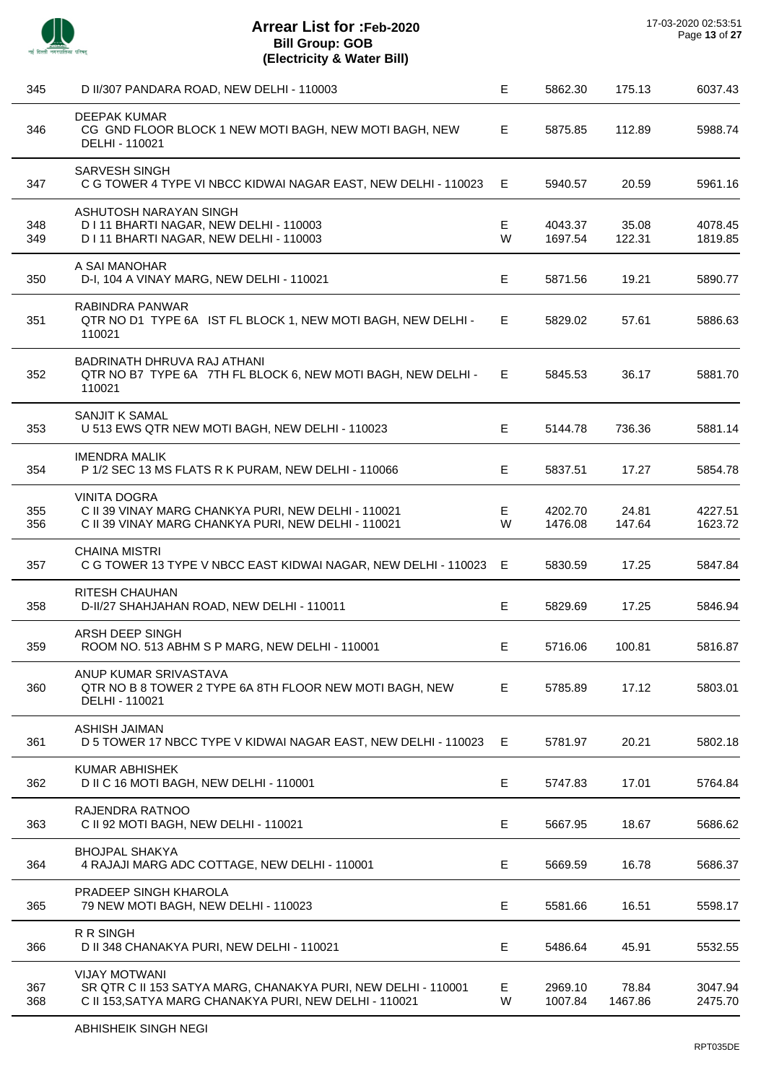

J.

 $\overline{a}$ 

 $\overline{a}$ 

 $\overline{\phantom{a}}$ 

| 345        | D II/307 PANDARA ROAD, NEW DELHI - 110003                                                                                                       | E      | 5862.30            | 175.13           | 6037.43            |
|------------|-------------------------------------------------------------------------------------------------------------------------------------------------|--------|--------------------|------------------|--------------------|
| 346        | DEEPAK KUMAR<br>CG GND FLOOR BLOCK 1 NEW MOTI BAGH, NEW MOTI BAGH, NEW<br>DELHI - 110021                                                        | E      | 5875.85            | 112.89           | 5988.74            |
| 347        | <b>SARVESH SINGH</b><br>C G TOWER 4 TYPE VI NBCC KIDWAI NAGAR EAST, NEW DELHI - 110023                                                          | Е      | 5940.57            | 20.59            | 5961.16            |
| 348<br>349 | ASHUTOSH NARAYAN SINGH<br>D I 11 BHARTI NAGAR, NEW DELHI - 110003<br>D I 11 BHARTI NAGAR, NEW DELHI - 110003                                    | Е<br>W | 4043.37<br>1697.54 | 35.08<br>122.31  | 4078.45<br>1819.85 |
| 350        | A SAI MANOHAR<br>D-I, 104 A VINAY MARG, NEW DELHI - 110021                                                                                      | Е      | 5871.56            | 19.21            | 5890.77            |
| 351        | RABINDRA PANWAR<br>QTR NO D1 TYPE 6A IST FL BLOCK 1, NEW MOTI BAGH, NEW DELHI -<br>110021                                                       | E      | 5829.02            | 57.61            | 5886.63            |
| 352        | BADRINATH DHRUVA RAJ ATHANI<br>QTR NO B7 TYPE 6A 7TH FL BLOCK 6, NEW MOTI BAGH, NEW DELHI -<br>110021                                           | E.     | 5845.53            | 36.17            | 5881.70            |
| 353        | SANJIT K SAMAL<br>U 513 EWS QTR NEW MOTI BAGH, NEW DELHI - 110023                                                                               | E.     | 5144.78            | 736.36           | 5881.14            |
| 354        | <b>IMENDRA MALIK</b><br>P 1/2 SEC 13 MS FLATS R K PURAM, NEW DELHI - 110066                                                                     | Е      | 5837.51            | 17.27            | 5854.78            |
| 355<br>356 | <b>VINITA DOGRA</b><br>C II 39 VINAY MARG CHANKYA PURI, NEW DELHI - 110021<br>C II 39 VINAY MARG CHANKYA PURI, NEW DELHI - 110021               | E<br>W | 4202.70<br>1476.08 | 24.81<br>147.64  | 4227.51<br>1623.72 |
| 357        | <b>CHAINA MISTRI</b><br>C G TOWER 13 TYPE V NBCC EAST KIDWAI NAGAR, NEW DELHI - 110023 E                                                        |        | 5830.59            | 17.25            | 5847.84            |
| 358        | RITESH CHAUHAN<br>D-II/27 SHAHJAHAN ROAD, NEW DELHI - 110011                                                                                    | E      | 5829.69            | 17.25            | 5846.94            |
| 359        | ARSH DEEP SINGH<br>ROOM NO. 513 ABHM S P MARG, NEW DELHI - 110001                                                                               | Е      | 5716.06            | 100.81           | 5816.87            |
| 360        | ANUP KUMAR SRIVASTAVA<br>QTR NO B 8 TOWER 2 TYPE 6A 8TH FLOOR NEW MOTI BAGH, NEW<br>DELHI - 110021                                              | E.     | 5785.89            | 17.12            | 5803.01            |
| 361        | <b>ASHISH JAIMAN</b><br>D 5 TOWER 17 NBCC TYPE V KIDWAI NAGAR EAST, NEW DELHI - 110023                                                          | Е      | 5781.97            | 20.21            | 5802.18            |
| 362        | <b>KUMAR ABHISHEK</b><br>D II C 16 MOTI BAGH, NEW DELHI - 110001                                                                                | Е      | 5747.83            | 17.01            | 5764.84            |
| 363        | RAJENDRA RATNOO<br>C II 92 MOTI BAGH, NEW DELHI - 110021                                                                                        | Е      | 5667.95            | 18.67            | 5686.62            |
| 364        | <b>BHOJPAL SHAKYA</b><br>4 RAJAJI MARG ADC COTTAGE, NEW DELHI - 110001                                                                          | Е      | 5669.59            | 16.78            | 5686.37            |
| 365        | PRADEEP SINGH KHAROLA<br>79 NEW MOTI BAGH, NEW DELHI - 110023                                                                                   | Е      | 5581.66            | 16.51            | 5598.17            |
| 366        | R R SINGH<br>D II 348 CHANAKYA PURI, NEW DELHI - 110021                                                                                         | Е      | 5486.64            | 45.91            | 5532.55            |
| 367<br>368 | <b>VIJAY MOTWANI</b><br>SR QTR C II 153 SATYA MARG, CHANAKYA PURI, NEW DELHI - 110001<br>C II 153, SATYA MARG CHANAKYA PURI, NEW DELHI - 110021 | Е<br>W | 2969.10<br>1007.84 | 78.84<br>1467.86 | 3047.94<br>2475.70 |
|            |                                                                                                                                                 |        |                    |                  |                    |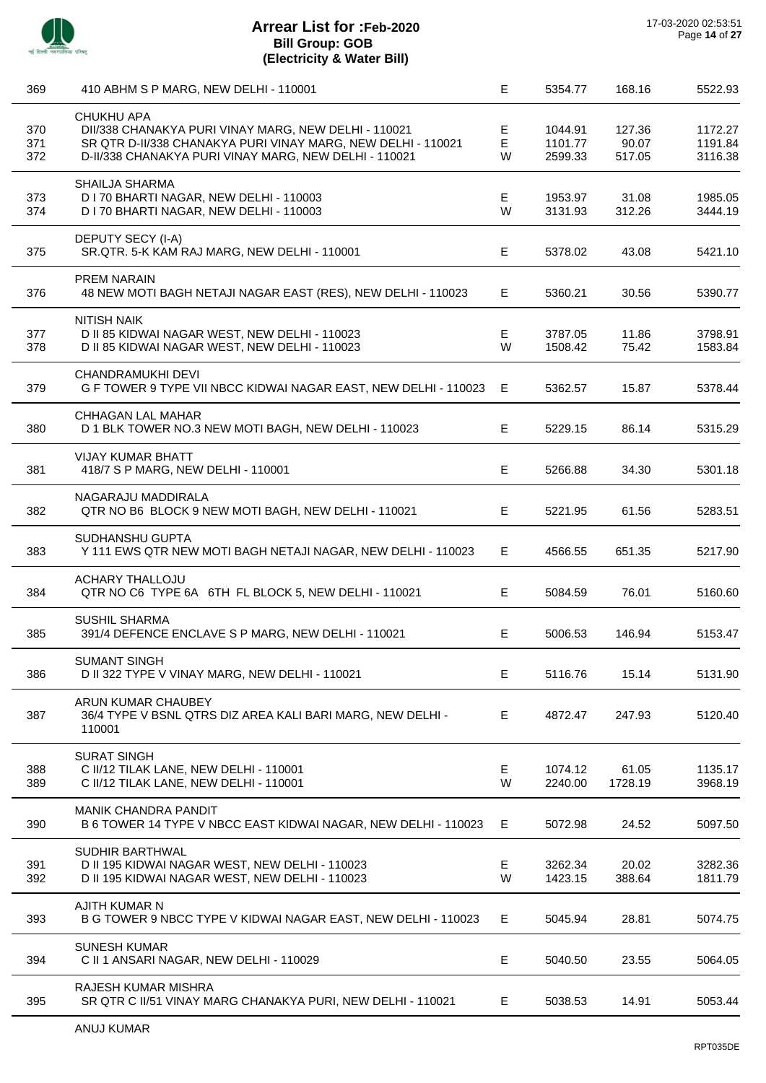

# **Arrear List for :Feb-2020 Bill Group: GOB (Electricity & Water Bill)**

| 369               | 410 ABHM S P MARG, NEW DELHI - 110001                                                                                                                                                              | E.          | 5354.77                       | 168.16                    | 5522.93                       |
|-------------------|----------------------------------------------------------------------------------------------------------------------------------------------------------------------------------------------------|-------------|-------------------------------|---------------------------|-------------------------------|
| 370<br>371<br>372 | <b>CHUKHU APA</b><br>DII/338 CHANAKYA PURI VINAY MARG, NEW DELHI - 110021<br>SR QTR D-II/338 CHANAKYA PURI VINAY MARG, NEW DELHI - 110021<br>D-II/338 CHANAKYA PURI VINAY MARG, NEW DELHI - 110021 | Е<br>E<br>W | 1044.91<br>1101.77<br>2599.33 | 127.36<br>90.07<br>517.05 | 1172.27<br>1191.84<br>3116.38 |
| 373<br>374        | SHAILJA SHARMA<br>D I 70 BHARTI NAGAR, NEW DELHI - 110003<br>D I 70 BHARTI NAGAR, NEW DELHI - 110003                                                                                               | Е<br>W      | 1953.97<br>3131.93            | 31.08<br>312.26           | 1985.05<br>3444.19            |
| 375               | DEPUTY SECY (I-A)<br>SR.QTR. 5-K KAM RAJ MARG, NEW DELHI - 110001                                                                                                                                  | Е           | 5378.02                       | 43.08                     | 5421.10                       |
| 376               | PREM NARAIN<br>48 NEW MOTI BAGH NETAJI NAGAR EAST (RES), NEW DELHI - 110023                                                                                                                        | E.          | 5360.21                       | 30.56                     | 5390.77                       |
| 377<br>378        | <b>NITISH NAIK</b><br>D II 85 KIDWAI NAGAR WEST, NEW DELHI - 110023<br>D II 85 KIDWAI NAGAR WEST, NEW DELHI - 110023                                                                               | Е<br>W      | 3787.05<br>1508.42            | 11.86<br>75.42            | 3798.91<br>1583.84            |
| 379               | CHANDRAMUKHI DEVI<br>G F TOWER 9 TYPE VII NBCC KIDWAI NAGAR EAST, NEW DELHI - 110023                                                                                                               | E           | 5362.57                       | 15.87                     | 5378.44                       |
| 380               | CHHAGAN LAL MAHAR<br>D 1 BLK TOWER NO.3 NEW MOTI BAGH, NEW DELHI - 110023                                                                                                                          | E           | 5229.15                       | 86.14                     | 5315.29                       |
| 381               | <b>VIJAY KUMAR BHATT</b><br>418/7 S P MARG, NEW DELHI - 110001                                                                                                                                     | E           | 5266.88                       | 34.30                     | 5301.18                       |
| 382               | NAGARAJU MADDIRALA<br>QTR NO B6 BLOCK 9 NEW MOTI BAGH, NEW DELHI - 110021                                                                                                                          | E           | 5221.95                       | 61.56                     | 5283.51                       |
| 383               | SUDHANSHU GUPTA<br>Y 111 EWS QTR NEW MOTI BAGH NETAJI NAGAR, NEW DELHI - 110023                                                                                                                    | E           | 4566.55                       | 651.35                    | 5217.90                       |
| 384               | <b>ACHARY THALLOJU</b><br>QTR NO C6 TYPE 6A 6TH FL BLOCK 5, NEW DELHI - 110021                                                                                                                     | E           | 5084.59                       | 76.01                     | 5160.60                       |
| 385               | <b>SUSHIL SHARMA</b><br>391/4 DEFENCE ENCLAVE S P MARG, NEW DELHI - 110021                                                                                                                         | Е           | 5006.53                       | 146.94                    | 5153.47                       |
| 386               | <b>SUMANT SINGH</b><br>D II 322 TYPE V VINAY MARG, NEW DELHI - 110021                                                                                                                              | Е           | 5116.76                       | 15.14                     | 5131.90                       |
| 387               | ARUN KUMAR CHAUBEY<br>36/4 TYPE V BSNL QTRS DIZ AREA KALI BARI MARG, NEW DELHI -<br>110001                                                                                                         | E           | 4872.47                       | 247.93                    | 5120.40                       |
| 388<br>389        | <b>SURAT SINGH</b><br>C II/12 TILAK LANE, NEW DELHI - 110001<br>C II/12 TILAK LANE, NEW DELHI - 110001                                                                                             | Е<br>W      | 1074.12<br>2240.00            | 61.05<br>1728.19          | 1135.17<br>3968.19            |
| 390               | <b>MANIK CHANDRA PANDIT</b><br>B 6 TOWER 14 TYPE V NBCC EAST KIDWAI NAGAR, NEW DELHI - 110023                                                                                                      | E.          | 5072.98                       | 24.52                     | 5097.50                       |
| 391<br>392        | SUDHIR BARTHWAL<br>D II 195 KIDWAI NAGAR WEST, NEW DELHI - 110023<br>D II 195 KIDWAI NAGAR WEST, NEW DELHI - 110023                                                                                | E.<br>W     | 3262.34<br>1423.15            | 20.02<br>388.64           | 3282.36<br>1811.79            |
| 393               | AJITH KUMAR N<br>B G TOWER 9 NBCC TYPE V KIDWAI NAGAR EAST, NEW DELHI - 110023                                                                                                                     | Е           | 5045.94                       | 28.81                     | 5074.75                       |
| 394               | <b>SUNESH KUMAR</b><br>C II 1 ANSARI NAGAR, NEW DELHI - 110029                                                                                                                                     | Е           | 5040.50                       | 23.55                     | 5064.05                       |
| 395               | RAJESH KUMAR MISHRA<br>SR QTR C II/51 VINAY MARG CHANAKYA PURI, NEW DELHI - 110021                                                                                                                 | E.          | 5038.53                       | 14.91                     | 5053.44                       |
|                   |                                                                                                                                                                                                    |             |                               |                           |                               |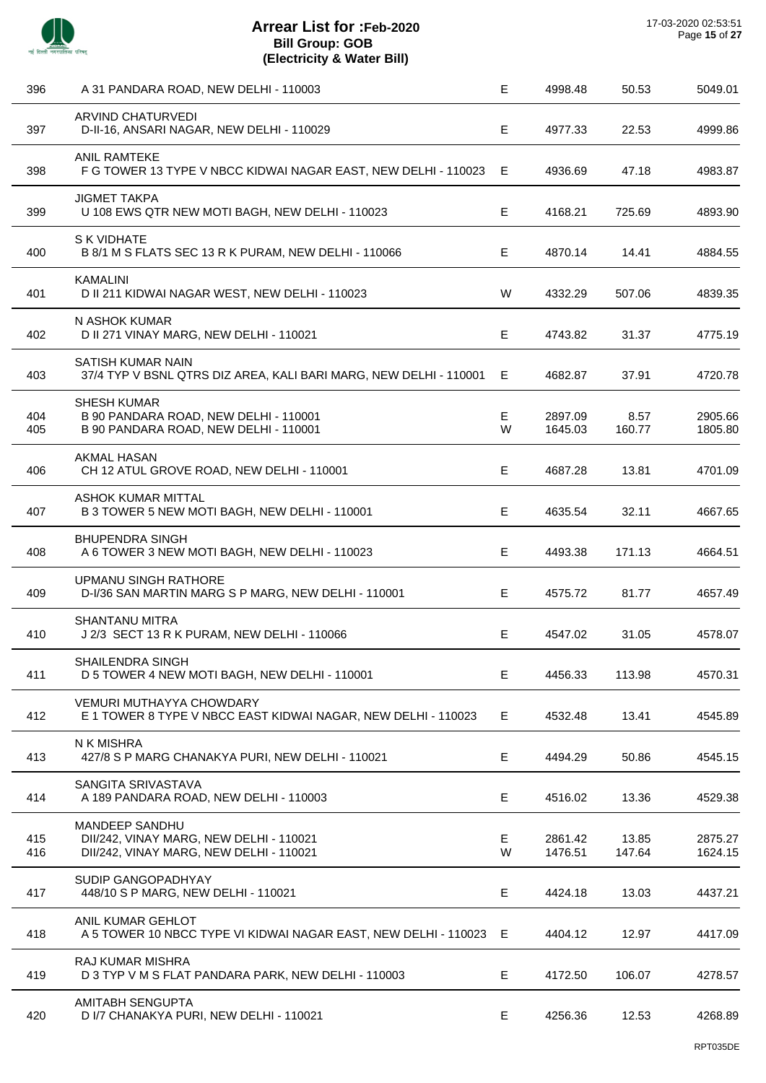| 396        | A 31 PANDARA ROAD, NEW DELHI - 110003                                                                | E      | 4998.48            | 50.53           | 5049.01            |
|------------|------------------------------------------------------------------------------------------------------|--------|--------------------|-----------------|--------------------|
| 397        | <b>ARVIND CHATURVEDI</b><br>D-II-16, ANSARI NAGAR, NEW DELHI - 110029                                | E      | 4977.33            | 22.53           | 4999.86            |
| 398        | <b>ANIL RAMTEKE</b><br>F G TOWER 13 TYPE V NBCC KIDWAI NAGAR EAST, NEW DELHI - 110023                | E      | 4936.69            | 47.18           | 4983.87            |
| 399        | <b>JIGMET TAKPA</b><br>U 108 EWS QTR NEW MOTI BAGH, NEW DELHI - 110023                               | E      | 4168.21            | 725.69          | 4893.90            |
| 400        | S K VIDHATE<br>B 8/1 M S FLATS SEC 13 R K PURAM, NEW DELHI - 110066                                  | Е      | 4870.14            | 14.41           | 4884.55            |
| 401        | <b>KAMALINI</b><br>D II 211 KIDWAI NAGAR WEST, NEW DELHI - 110023                                    | W      | 4332.29            | 507.06          | 4839.35            |
| 402        | N ASHOK KUMAR<br>D II 271 VINAY MARG, NEW DELHI - 110021                                             | E      | 4743.82            | 31.37           | 4775.19            |
| 403        | SATISH KUMAR NAIN<br>37/4 TYP V BSNL QTRS DIZ AREA, KALI BARI MARG, NEW DELHI - 110001               | E      | 4682.87            | 37.91           | 4720.78            |
| 404<br>405 | <b>SHESH KUMAR</b><br>B 90 PANDARA ROAD, NEW DELHI - 110001<br>B 90 PANDARA ROAD, NEW DELHI - 110001 | Е<br>W | 2897.09<br>1645.03 | 8.57<br>160.77  | 2905.66<br>1805.80 |
| 406        | <b>AKMAL HASAN</b><br>CH 12 ATUL GROVE ROAD, NEW DELHI - 110001                                      | E      | 4687.28            | 13.81           | 4701.09            |
| 407        | <b>ASHOK KUMAR MITTAL</b><br>B 3 TOWER 5 NEW MOTI BAGH, NEW DELHI - 110001                           | E      | 4635.54            | 32.11           | 4667.65            |
| 408        | <b>BHUPENDRA SINGH</b><br>A 6 TOWER 3 NEW MOTI BAGH, NEW DELHI - 110023                              | E      | 4493.38            | 171.13          | 4664.51            |
| 409        | UPMANU SINGH RATHORE<br>D-I/36 SAN MARTIN MARG S P MARG, NEW DELHI - 110001                          | Е      | 4575.72            | 81.77           | 4657.49            |
| 410        | <b>SHANTANU MITRA</b><br>J 2/3 SECT 13 R K PURAM, NEW DELHI - 110066                                 | E      | 4547.02            | 31.05           | 4578.07            |
| 411        | SHAILENDRA SINGH<br>D 5 TOWER 4 NEW MOTI BAGH, NEW DELHI - 110001                                    | E      | 4456.33            | 113.98          | 4570.31            |
| 412        | <b>VEMURI MUTHAYYA CHOWDARY</b><br>E 1 TOWER 8 TYPE V NBCC EAST KIDWAI NAGAR, NEW DELHI - 110023     | Е      | 4532.48            | 13.41           | 4545.89            |
| 413        | N K MISHRA<br>427/8 S P MARG CHANAKYA PURI, NEW DELHI - 110021                                       | Е      | 4494.29            | 50.86           | 4545.15            |
| 414        | SANGITA SRIVASTAVA<br>A 189 PANDARA ROAD, NEW DELHI - 110003                                         | E      | 4516.02            | 13.36           | 4529.38            |
| 415<br>416 | MANDEEP SANDHU<br>DII/242, VINAY MARG, NEW DELHI - 110021<br>DII/242, VINAY MARG, NEW DELHI - 110021 | E<br>W | 2861.42<br>1476.51 | 13.85<br>147.64 | 2875.27<br>1624.15 |
| 417        | SUDIP GANGOPADHYAY<br>448/10 S P MARG, NEW DELHI - 110021                                            | E      | 4424.18            | 13.03           | 4437.21            |
| 418        | ANIL KUMAR GEHLOT<br>A 5 TOWER 10 NBCC TYPE VI KIDWAI NAGAR EAST, NEW DELHI - 110023 E               |        | 4404.12            | 12.97           | 4417.09            |
| 419        | <b>RAJ KUMAR MISHRA</b><br>D 3 TYP V M S FLAT PANDARA PARK, NEW DELHI - 110003                       | E      | 4172.50            | 106.07          | 4278.57            |
| 420        | AMITABH SENGUPTA<br>D I/7 CHANAKYA PURI, NEW DELHI - 110021                                          | Е      | 4256.36            | 12.53           | 4268.89            |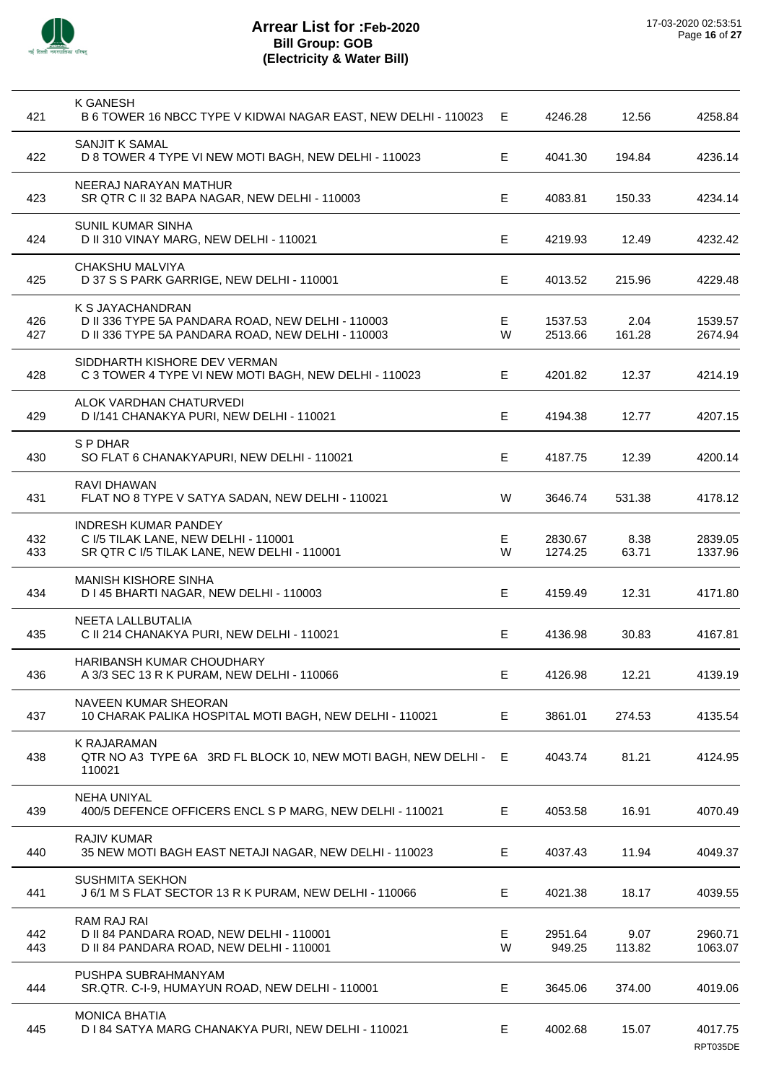

| 421        | K GANESH<br>B 6 TOWER 16 NBCC TYPE V KIDWAI NAGAR EAST, NEW DELHI - 110023                                                 | Е      | 4246.28            | 12.56          | 4258.84             |
|------------|----------------------------------------------------------------------------------------------------------------------------|--------|--------------------|----------------|---------------------|
| 422        | <b>SANJIT K SAMAL</b><br>D 8 TOWER 4 TYPE VI NEW MOTI BAGH, NEW DELHI - 110023                                             | Е      | 4041.30            | 194.84         | 4236.14             |
| 423        | NEERAJ NARAYAN MATHUR<br>SR QTR C II 32 BAPA NAGAR, NEW DELHI - 110003                                                     | E      | 4083.81            | 150.33         | 4234.14             |
| 424        | <b>SUNIL KUMAR SINHA</b><br>D II 310 VINAY MARG, NEW DELHI - 110021                                                        | Е      | 4219.93            | 12.49          | 4232.42             |
| 425        | CHAKSHU MALVIYA<br>D 37 S S PARK GARRIGE, NEW DELHI - 110001                                                               | Е      | 4013.52            | 215.96         | 4229.48             |
| 426<br>427 | K S JAYACHANDRAN<br>D II 336 TYPE 5A PANDARA ROAD, NEW DELHI - 110003<br>D II 336 TYPE 5A PANDARA ROAD, NEW DELHI - 110003 | Е<br>W | 1537.53<br>2513.66 | 2.04<br>161.28 | 1539.57<br>2674.94  |
| 428        | SIDDHARTH KISHORE DEV VERMAN<br>C 3 TOWER 4 TYPE VI NEW MOTI BAGH, NEW DELHI - 110023                                      | E      | 4201.82            | 12.37          | 4214.19             |
| 429        | ALOK VARDHAN CHATURVEDI<br>D I/141 CHANAKYA PURI, NEW DELHI - 110021                                                       | Е      | 4194.38            | 12.77          | 4207.15             |
| 430        | S P DHAR<br>SO FLAT 6 CHANAKYAPURI, NEW DELHI - 110021                                                                     | Е      | 4187.75            | 12.39          | 4200.14             |
| 431        | <b>RAVI DHAWAN</b><br>FLAT NO 8 TYPE V SATYA SADAN, NEW DELHI - 110021                                                     | W      | 3646.74            | 531.38         | 4178.12             |
| 432<br>433 | <b>INDRESH KUMAR PANDEY</b><br>C I/5 TILAK LANE, NEW DELHI - 110001<br>SR QTR C I/5 TILAK LANE, NEW DELHI - 110001         | E<br>W | 2830.67<br>1274.25 | 8.38<br>63.71  | 2839.05<br>1337.96  |
| 434        | <b>MANISH KISHORE SINHA</b><br>D I 45 BHARTI NAGAR, NEW DELHI - 110003                                                     | Е      | 4159.49            | 12.31          | 4171.80             |
| 435        | NEETA LALLBUTALIA<br>C II 214 CHANAKYA PURI, NEW DELHI - 110021                                                            | Е      | 4136.98            | 30.83          | 4167.81             |
| 436        | HARIBANSH KUMAR CHOUDHARY<br>A 3/3 SEC 13 R K PURAM, NEW DELHI - 110066                                                    | Е      | 4126.98            | 12.21          | 4139.19             |
| 437        | NAVEEN KUMAR SHEORAN<br>10 CHARAK PALIKA HOSPITAL MOTI BAGH, NEW DELHI - 110021                                            | E      | 3861.01            | 274.53         | 4135.54             |
| 438        | K RAJARAMAN<br>QTR NO A3 TYPE 6A 3RD FL BLOCK 10, NEW MOTI BAGH, NEW DELHI - E<br>110021                                   |        | 4043.74            | 81.21          | 4124.95             |
| 439        | <b>NEHA UNIYAL</b><br>400/5 DEFENCE OFFICERS ENCL S P MARG, NEW DELHI - 110021                                             | Е      | 4053.58            | 16.91          | 4070.49             |
| 440        | <b>RAJIV KUMAR</b><br>35 NEW MOTI BAGH EAST NETAJI NAGAR, NEW DELHI - 110023                                               | Е      | 4037.43            | 11.94          | 4049.37             |
| 441        | <b>SUSHMITA SEKHON</b><br>J 6/1 M S FLAT SECTOR 13 R K PURAM, NEW DELHI - 110066                                           | Е      | 4021.38            | 18.17          | 4039.55             |
| 442<br>443 | RAM RAJ RAI<br>D II 84 PANDARA ROAD, NEW DELHI - 110001<br>D II 84 PANDARA ROAD, NEW DELHI - 110001                        | Е<br>W | 2951.64<br>949.25  | 9.07<br>113.82 | 2960.71<br>1063.07  |
| 444        | PUSHPA SUBRAHMANYAM<br>SR.QTR. C-I-9, HUMAYUN ROAD, NEW DELHI - 110001                                                     | E      | 3645.06            | 374.00         | 4019.06             |
| 445        | <b>MONICA BHATIA</b><br>D I 84 SATYA MARG CHANAKYA PURI, NEW DELHI - 110021                                                | Е      | 4002.68            | 15.07          | 4017.75<br>RPT035DE |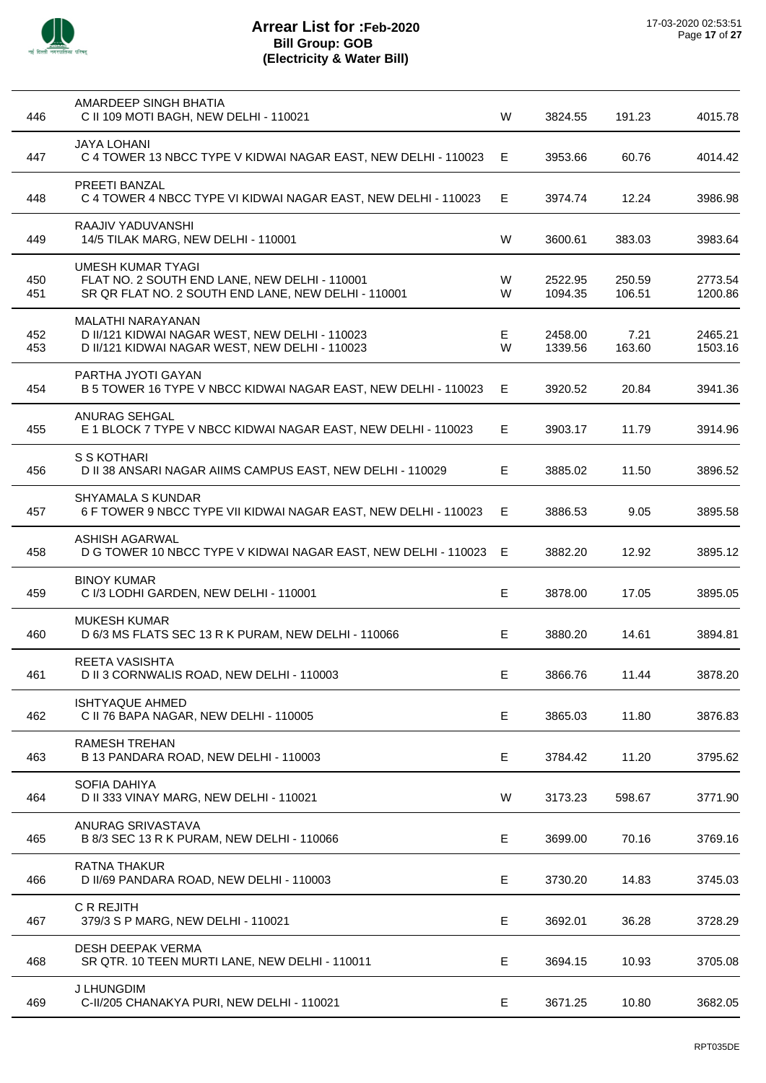

| 446        | AMARDEEP SINGH BHATIA<br>C II 109 MOTI BAGH, NEW DELHI - 110021                                                                  | W      | 3824.55            | 191.23           | 4015.78            |
|------------|----------------------------------------------------------------------------------------------------------------------------------|--------|--------------------|------------------|--------------------|
| 447        | <b>JAYA LOHANI</b><br>C 4 TOWER 13 NBCC TYPE V KIDWAI NAGAR EAST, NEW DELHI - 110023                                             | E      | 3953.66            | 60.76            | 4014.42            |
| 448        | <b>PREETI BANZAL</b><br>C 4 TOWER 4 NBCC TYPE VI KIDWAI NAGAR EAST, NEW DELHI - 110023                                           | E      | 3974.74            | 12.24            | 3986.98            |
| 449        | RAAJIV YADUVANSHI<br>14/5 TILAK MARG, NEW DELHI - 110001                                                                         | W      | 3600.61            | 383.03           | 3983.64            |
| 450<br>451 | <b>UMESH KUMAR TYAGI</b><br>FLAT NO. 2 SOUTH END LANE, NEW DELHI - 110001<br>SR QR FLAT NO. 2 SOUTH END LANE, NEW DELHI - 110001 | W<br>W | 2522.95<br>1094.35 | 250.59<br>106.51 | 2773.54<br>1200.86 |
| 452<br>453 | MALATHI NARAYANAN<br>D II/121 KIDWAI NAGAR WEST, NEW DELHI - 110023<br>D II/121 KIDWAI NAGAR WEST, NEW DELHI - 110023            | E<br>W | 2458.00<br>1339.56 | 7.21<br>163.60   | 2465.21<br>1503.16 |
| 454        | PARTHA JYOTI GAYAN<br>B 5 TOWER 16 TYPE V NBCC KIDWAI NAGAR EAST, NEW DELHI - 110023                                             | Е      | 3920.52            | 20.84            | 3941.36            |
| 455        | ANURAG SEHGAL<br>E 1 BLOCK 7 TYPE V NBCC KIDWAI NAGAR EAST, NEW DELHI - 110023                                                   | Е      | 3903.17            | 11.79            | 3914.96            |
| 456        | S S KOTHARI<br>D II 38 ANSARI NAGAR AIIMS CAMPUS EAST, NEW DELHI - 110029                                                        | E.     | 3885.02            | 11.50            | 3896.52            |
| 457        | <b>SHYAMALA S KUNDAR</b><br>6 F TOWER 9 NBCC TYPE VII KIDWAI NAGAR EAST, NEW DELHI - 110023                                      | Е      | 3886.53            | 9.05             | 3895.58            |
| 458        | <b>ASHISH AGARWAL</b><br>D G TOWER 10 NBCC TYPE V KIDWAI NAGAR EAST, NEW DELHI - 110023                                          | Е      | 3882.20            | 12.92            | 3895.12            |
| 459        | <b>BINOY KUMAR</b><br>C I/3 LODHI GARDEN, NEW DELHI - 110001                                                                     | Е      | 3878.00            | 17.05            | 3895.05            |
| 460        | <b>MUKESH KUMAR</b><br>D 6/3 MS FLATS SEC 13 R K PURAM, NEW DELHI - 110066                                                       | Е      | 3880.20            | 14.61            | 3894.81            |
| 461        | <b>REETA VASISHTA</b><br>D II 3 CORNWALIS ROAD, NEW DELHI - 110003                                                               | E.     | 3866.76            | 11.44            | 3878.20            |
| 462        | <b>ISHTYAQUE AHMED</b><br>C II 76 BAPA NAGAR, NEW DELHI - 110005                                                                 | Е      | 3865.03            | 11.80            | 3876.83            |
| 463        | <b>RAMESH TREHAN</b><br>B 13 PANDARA ROAD, NEW DELHI - 110003                                                                    | Е      | 3784.42            | 11.20            | 3795.62            |
| 464        | SOFIA DAHIYA<br>D II 333 VINAY MARG, NEW DELHI - 110021                                                                          | W      | 3173.23            | 598.67           | 3771.90            |
| 465        | ANURAG SRIVASTAVA<br>B 8/3 SEC 13 R K PURAM, NEW DELHI - 110066                                                                  | Е      | 3699.00            | 70.16            | 3769.16            |
| 466        | RATNA THAKUR<br>D II/69 PANDARA ROAD, NEW DELHI - 110003                                                                         | E      | 3730.20            | 14.83            | 3745.03            |
| 467        | C R REJITH<br>379/3 S P MARG, NEW DELHI - 110021                                                                                 | Е      | 3692.01            | 36.28            | 3728.29            |
| 468        | <b>DESH DEEPAK VERMA</b><br>SR QTR. 10 TEEN MURTI LANE, NEW DELHI - 110011                                                       | E      | 3694.15            | 10.93            | 3705.08            |
| 469        | <b>J LHUNGDIM</b><br>C-II/205 CHANAKYA PURI, NEW DELHI - 110021                                                                  | E      | 3671.25            | 10.80            | 3682.05            |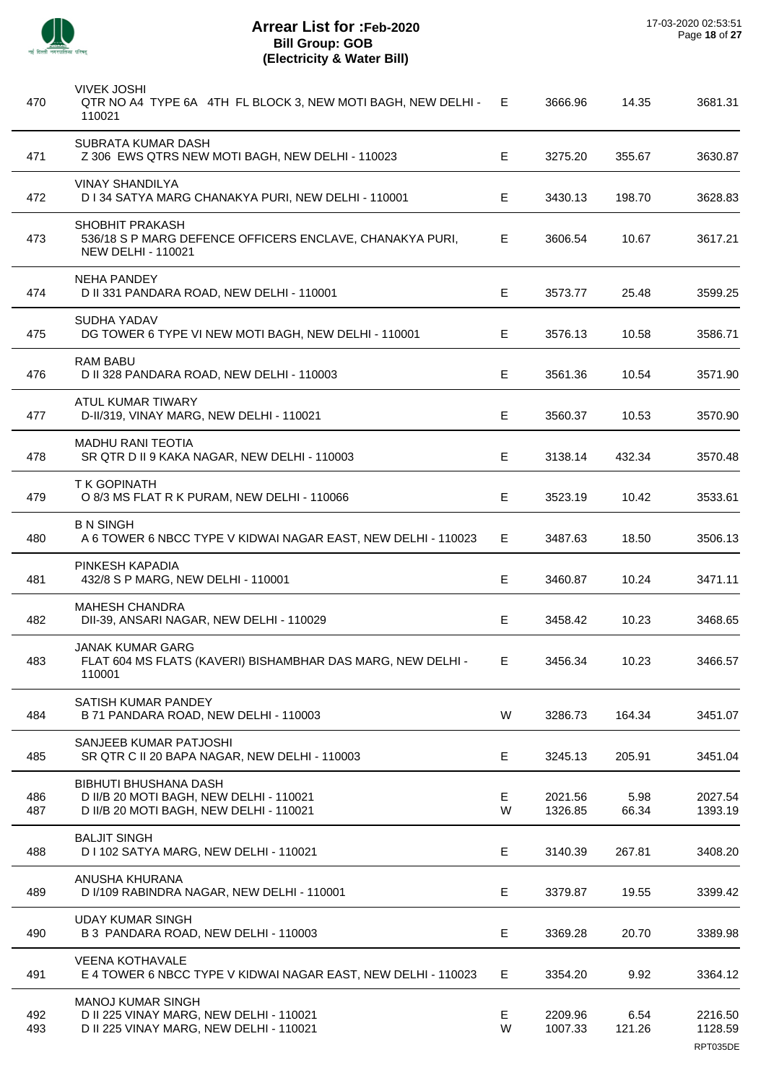

 $\overline{\phantom{a}}$ 

J.

 $\overline{a}$ 

÷.

j.

| 470        | <b>VIVEK JOSHI</b><br>QTR NO A4 TYPE 6A 4TH FL BLOCK 3, NEW MOTI BAGH, NEW DELHI -<br>110021                       | Е       | 3666.96            | 14.35          | 3681.31                        |
|------------|--------------------------------------------------------------------------------------------------------------------|---------|--------------------|----------------|--------------------------------|
| 471        | SUBRATA KUMAR DASH<br>Z 306 EWS QTRS NEW MOTI BAGH, NEW DELHI - 110023                                             | E.      | 3275.20            | 355.67         | 3630.87                        |
| 472        | <b>VINAY SHANDILYA</b><br>D I 34 SATYA MARG CHANAKYA PURI, NEW DELHI - 110001                                      | E       | 3430.13            | 198.70         | 3628.83                        |
| 473        | SHOBHIT PRAKASH<br>536/18 S P MARG DEFENCE OFFICERS ENCLAVE, CHANAKYA PURI,<br><b>NEW DELHI - 110021</b>           | E       | 3606.54            | 10.67          | 3617.21                        |
| 474        | <b>NEHA PANDEY</b><br>D II 331 PANDARA ROAD, NEW DELHI - 110001                                                    | E       | 3573.77            | 25.48          | 3599.25                        |
| 475        | SUDHA YADAV<br>DG TOWER 6 TYPE VI NEW MOTI BAGH, NEW DELHI - 110001                                                | E.      | 3576.13            | 10.58          | 3586.71                        |
| 476        | RAM BABU<br>D II 328 PANDARA ROAD, NEW DELHI - 110003                                                              | Е       | 3561.36            | 10.54          | 3571.90                        |
| 477        | ATUL KUMAR TIWARY<br>D-II/319, VINAY MARG, NEW DELHI - 110021                                                      | E       | 3560.37            | 10.53          | 3570.90                        |
| 478        | <b>MADHU RANI TEOTIA</b><br>SR QTR D II 9 KAKA NAGAR, NEW DELHI - 110003                                           | E.      | 3138.14            | 432.34         | 3570.48                        |
| 479        | <b>TK GOPINATH</b><br>O 8/3 MS FLAT R K PURAM, NEW DELHI - 110066                                                  | E.      | 3523.19            | 10.42          | 3533.61                        |
| 480        | <b>B N SINGH</b><br>A 6 TOWER 6 NBCC TYPE V KIDWAI NAGAR EAST, NEW DELHI - 110023                                  | E       | 3487.63            | 18.50          | 3506.13                        |
| 481        | PINKESH KAPADIA<br>432/8 S P MARG, NEW DELHI - 110001                                                              | Е       | 3460.87            | 10.24          | 3471.11                        |
| 482        | <b>MAHESH CHANDRA</b><br>DII-39, ANSARI NAGAR, NEW DELHI - 110029                                                  | E       | 3458.42            | 10.23          | 3468.65                        |
| 483        | JANAK KUMAR GARG<br>FLAT 604 MS FLATS (KAVERI) BISHAMBHAR DAS MARG, NEW DELHI -<br>110001                          | E.      | 3456.34            | 10.23          | 3466.57                        |
| 484        | SATISH KUMAR PANDEY<br>B 71 PANDARA ROAD, NEW DELHI - 110003                                                       | W       | 3286.73            | 164.34         | 3451.07                        |
| 485        | SANJEEB KUMAR PATJOSHI<br>SR QTR C II 20 BAPA NAGAR, NEW DELHI - 110003                                            | Е       | 3245.13            | 205.91         | 3451.04                        |
| 486<br>487 | <b>BIBHUTI BHUSHANA DASH</b><br>D II/B 20 MOTI BAGH, NEW DELHI - 110021<br>D II/B 20 MOTI BAGH, NEW DELHI - 110021 | E.<br>W | 2021.56<br>1326.85 | 5.98<br>66.34  | 2027.54<br>1393.19             |
| 488        | <b>BALJIT SINGH</b><br>D I 102 SATYA MARG, NEW DELHI - 110021                                                      | Е       | 3140.39            | 267.81         | 3408.20                        |
| 489        | ANUSHA KHURANA<br>D I/109 RABINDRA NAGAR, NEW DELHI - 110001                                                       | E       | 3379.87            | 19.55          | 3399.42                        |
| 490        | <b>UDAY KUMAR SINGH</b><br>B 3 PANDARA ROAD, NEW DELHI - 110003                                                    | Е       | 3369.28            | 20.70          | 3389.98                        |
| 491        | <b>VEENA KOTHAVALE</b><br>E 4 TOWER 6 NBCC TYPE V KIDWAI NAGAR EAST, NEW DELHI - 110023                            | Е       | 3354.20            | 9.92           | 3364.12                        |
| 492<br>493 | <b>MANOJ KUMAR SINGH</b><br>D II 225 VINAY MARG, NEW DELHI - 110021<br>D II 225 VINAY MARG, NEW DELHI - 110021     | E<br>W  | 2209.96<br>1007.33 | 6.54<br>121.26 | 2216.50<br>1128.59<br>RPT035DE |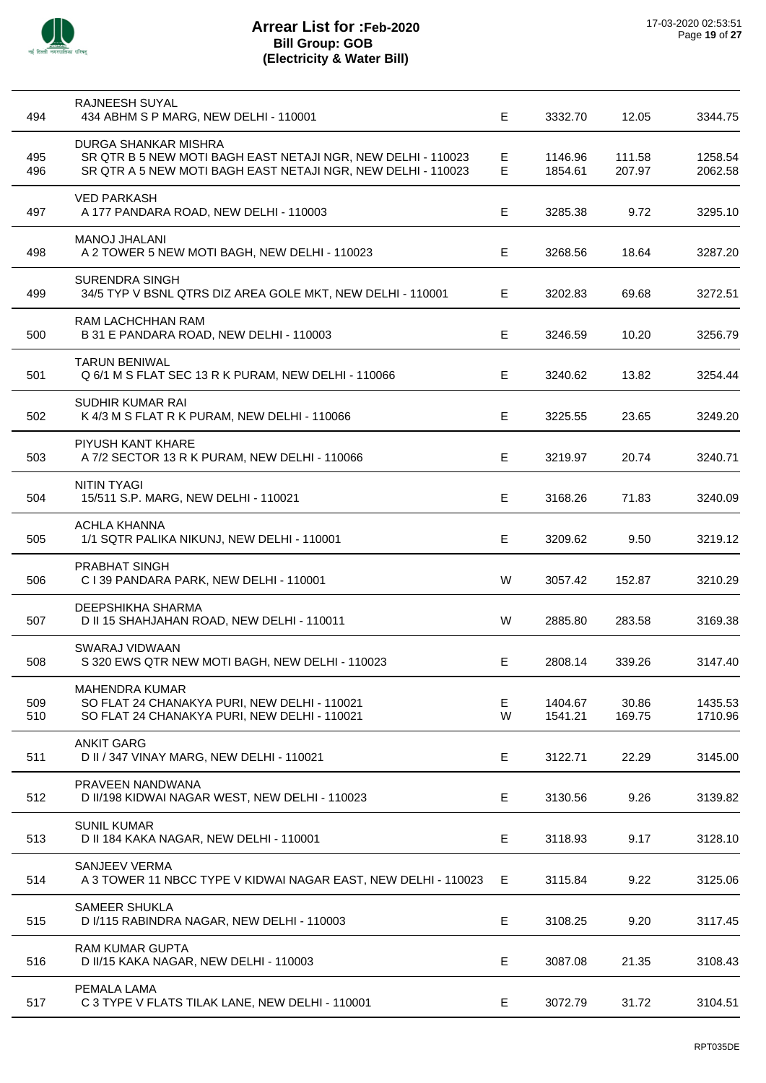

l,

| 494        | RAJNEESH SUYAL<br>434 ABHM S P MARG, NEW DELHI - 110001                                                                                              | E       | 3332.70            | 12.05            | 3344.75            |
|------------|------------------------------------------------------------------------------------------------------------------------------------------------------|---------|--------------------|------------------|--------------------|
| 495<br>496 | DURGA SHANKAR MISHRA<br>SR QTR B 5 NEW MOTI BAGH EAST NETAJI NGR, NEW DELHI - 110023<br>SR QTR A 5 NEW MOTI BAGH EAST NETAJI NGR, NEW DELHI - 110023 | E.<br>Е | 1146.96<br>1854.61 | 111.58<br>207.97 | 1258.54<br>2062.58 |
| 497        | <b>VED PARKASH</b><br>A 177 PANDARA ROAD, NEW DELHI - 110003                                                                                         | E       | 3285.38            | 9.72             | 3295.10            |
| 498        | <b>MANOJ JHALANI</b><br>A 2 TOWER 5 NEW MOTI BAGH, NEW DELHI - 110023                                                                                | E.      | 3268.56            | 18.64            | 3287.20            |
| 499        | <b>SURENDRA SINGH</b><br>34/5 TYP V BSNL QTRS DIZ AREA GOLE MKT, NEW DELHI - 110001                                                                  | E.      | 3202.83            | 69.68            | 3272.51            |
| 500        | RAM LACHCHHAN RAM<br>B 31 E PANDARA ROAD, NEW DELHI - 110003                                                                                         | Е       | 3246.59            | 10.20            | 3256.79            |
| 501        | <b>TARUN BENIWAL</b><br>Q 6/1 M S FLAT SEC 13 R K PURAM, NEW DELHI - 110066                                                                          | E.      | 3240.62            | 13.82            | 3254.44            |
| 502        | SUDHIR KUMAR RAI<br>K 4/3 M S FLAT R K PURAM, NEW DELHI - 110066                                                                                     | E       | 3225.55            | 23.65            | 3249.20            |
| 503        | PIYUSH KANT KHARE<br>A 7/2 SECTOR 13 R K PURAM, NEW DELHI - 110066                                                                                   | E       | 3219.97            | 20.74            | 3240.71            |
| 504        | <b>NITIN TYAGI</b><br>15/511 S.P. MARG, NEW DELHI - 110021                                                                                           | E.      | 3168.26            | 71.83            | 3240.09            |
| 505        | <b>ACHLA KHANNA</b><br>1/1 SQTR PALIKA NIKUNJ, NEW DELHI - 110001                                                                                    | E.      | 3209.62            | 9.50             | 3219.12            |
| 506        | <b>PRABHAT SINGH</b><br>C I 39 PANDARA PARK, NEW DELHI - 110001                                                                                      | W       | 3057.42            | 152.87           | 3210.29            |
| 507        | <b>DEEPSHIKHA SHARMA</b><br>D II 15 SHAHJAHAN ROAD, NEW DELHI - 110011                                                                               | W       | 2885.80            | 283.58           | 3169.38            |
| 508        | SWARAJ VIDWAAN<br>S 320 EWS QTR NEW MOTI BAGH, NEW DELHI - 110023                                                                                    | E       | 2808.14            | 339.26           | 3147.40            |
| 509<br>510 | <b>MAHENDRA KUMAR</b><br>SO FLAT 24 CHANAKYA PURI, NEW DELHI - 110021<br>SO FLAT 24 CHANAKYA PURI, NEW DELHI - 110021                                | Е<br>W  | 1404.67<br>1541.21 | 30.86<br>169.75  | 1435.53<br>1710.96 |
| 511        | <b>ANKIT GARG</b><br>D II / 347 VINAY MARG, NEW DELHI - 110021                                                                                       | E       | 3122.71            | 22.29            | 3145.00            |
| 512        | PRAVEEN NANDWANA<br>D II/198 KIDWAI NAGAR WEST, NEW DELHI - 110023                                                                                   | E       | 3130.56            | 9.26             | 3139.82            |
| 513        | <b>SUNIL KUMAR</b><br>D II 184 KAKA NAGAR, NEW DELHI - 110001                                                                                        | Е       | 3118.93            | 9.17             | 3128.10            |
| 514        | SANJEEV VERMA<br>A 3 TOWER 11 NBCC TYPE V KIDWAI NAGAR EAST, NEW DELHI - 110023                                                                      | E       | 3115.84            | 9.22             | 3125.06            |
| 515        | <b>SAMEER SHUKLA</b><br>D I/115 RABINDRA NAGAR, NEW DELHI - 110003                                                                                   | Е       | 3108.25            | 9.20             | 3117.45            |
| 516        | <b>RAM KUMAR GUPTA</b><br>D II/15 KAKA NAGAR, NEW DELHI - 110003                                                                                     | E       | 3087.08            | 21.35            | 3108.43            |
| 517        | PEMALA LAMA<br>C 3 TYPE V FLATS TILAK LANE, NEW DELHI - 110001                                                                                       | Е       | 3072.79            | 31.72            | 3104.51            |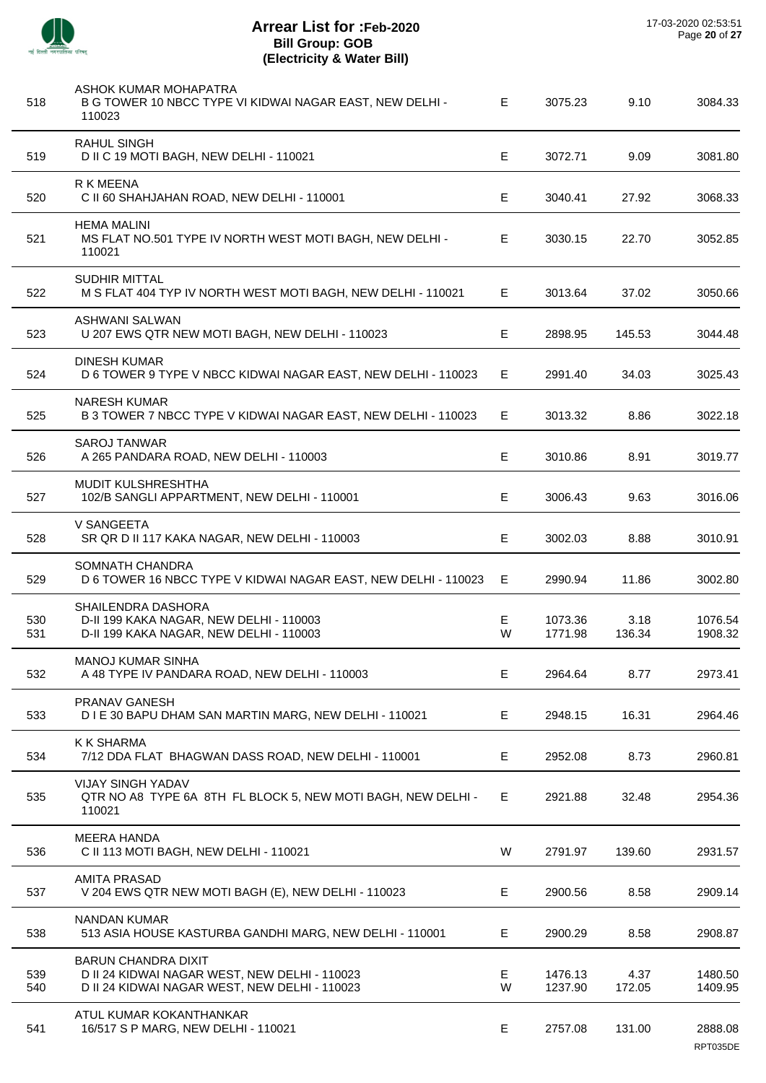

 $\overline{\phantom{a}}$ 

 $\overline{a}$ 

 $\overline{a}$ 

 $\overline{a}$ 

 $\overline{\phantom{a}}$ 

| 518        | ASHOK KUMAR MOHAPATRA<br>B G TOWER 10 NBCC TYPE VI KIDWAI NAGAR EAST, NEW DELHI -<br>110023                                  | E.      | 3075.23            | 9.10           | 3084.33             |
|------------|------------------------------------------------------------------------------------------------------------------------------|---------|--------------------|----------------|---------------------|
| 519        | <b>RAHUL SINGH</b><br>D II C 19 MOTI BAGH, NEW DELHI - 110021                                                                | E.      | 3072.71            | 9.09           | 3081.80             |
| 520        | <b>R K MEENA</b><br>C II 60 SHAHJAHAN ROAD, NEW DELHI - 110001                                                               | Е       | 3040.41            | 27.92          | 3068.33             |
| 521        | <b>HEMA MALINI</b><br>MS FLAT NO.501 TYPE IV NORTH WEST MOTI BAGH, NEW DELHI -<br>110021                                     | E       | 3030.15            | 22.70          | 3052.85             |
| 522        | <b>SUDHIR MITTAL</b><br>M S FLAT 404 TYP IV NORTH WEST MOTI BAGH, NEW DELHI - 110021                                         | E.      | 3013.64            | 37.02          | 3050.66             |
| 523        | ASHWANI SALWAN<br>U 207 EWS QTR NEW MOTI BAGH, NEW DELHI - 110023                                                            | E       | 2898.95            | 145.53         | 3044.48             |
| 524        | <b>DINESH KUMAR</b><br>D 6 TOWER 9 TYPE V NBCC KIDWAI NAGAR EAST, NEW DELHI - 110023                                         | E       | 2991.40            | 34.03          | 3025.43             |
| 525        | <b>NARESH KUMAR</b><br>B 3 TOWER 7 NBCC TYPE V KIDWAI NAGAR EAST, NEW DELHI - 110023                                         | E.      | 3013.32            | 8.86           | 3022.18             |
| 526        | SAROJ TANWAR<br>A 265 PANDARA ROAD, NEW DELHI - 110003                                                                       | E.      | 3010.86            | 8.91           | 3019.77             |
| 527        | <b>MUDIT KULSHRESHTHA</b><br>102/B SANGLI APPARTMENT, NEW DELHI - 110001                                                     | E.      | 3006.43            | 9.63           | 3016.06             |
| 528        | V SANGEETA<br>SR QR D II 117 KAKA NAGAR, NEW DELHI - 110003                                                                  | Е       | 3002.03            | 8.88           | 3010.91             |
| 529        | SOMNATH CHANDRA<br>D 6 TOWER 16 NBCC TYPE V KIDWAI NAGAR EAST, NEW DELHI - 110023                                            | Е       | 2990.94            | 11.86          | 3002.80             |
| 530<br>531 | <b>SHAILENDRA DASHORA</b><br>D-II 199 KAKA NAGAR, NEW DELHI - 110003<br>D-II 199 KAKA NAGAR, NEW DELHI - 110003              | E.<br>W | 1073.36<br>1771.98 | 3.18<br>136.34 | 1076.54<br>1908.32  |
| 532        | <b>MANOJ KUMAR SINHA</b><br>A 48 TYPE IV PANDARA ROAD, NEW DELHI - 110003                                                    | E       | 2964.64            | 8.77           | 2973.41             |
| 533        | PRANAV GANESH<br>D I E 30 BAPU DHAM SAN MARTIN MARG, NEW DELHI - 110021                                                      | E.      | 2948.15            | 16.31          | 2964.46             |
| 534        | <b>K K SHARMA</b><br>7/12 DDA FLAT BHAGWAN DASS ROAD, NEW DELHI - 110001                                                     | Е       | 2952.08            | 8.73           | 2960.81             |
| 535        | <b>VIJAY SINGH YADAV</b><br>QTR NO A8 TYPE 6A 8TH FL BLOCK 5, NEW MOTI BAGH, NEW DELHI -<br>110021                           | E.      | 2921.88            | 32.48          | 2954.36             |
| 536        | <b>MEERA HANDA</b><br>C II 113 MOTI BAGH, NEW DELHI - 110021                                                                 | W       | 2791.97            | 139.60         | 2931.57             |
| 537        | <b>AMITA PRASAD</b><br>V 204 EWS QTR NEW MOTI BAGH (E), NEW DELHI - 110023                                                   | E.      | 2900.56            | 8.58           | 2909.14             |
| 538        | <b>NANDAN KUMAR</b><br>513 ASIA HOUSE KASTURBA GANDHI MARG, NEW DELHI - 110001                                               | E.      | 2900.29            | 8.58           | 2908.87             |
| 539<br>540 | <b>BARUN CHANDRA DIXIT</b><br>D II 24 KIDWAI NAGAR WEST, NEW DELHI - 110023<br>D II 24 KIDWAI NAGAR WEST, NEW DELHI - 110023 | Е<br>W  | 1476.13<br>1237.90 | 4.37<br>172.05 | 1480.50<br>1409.95  |
| 541        | ATUL KUMAR KOKANTHANKAR<br>16/517 S P MARG, NEW DELHI - 110021                                                               | Е       | 2757.08            | 131.00         | 2888.08<br>RPT035DE |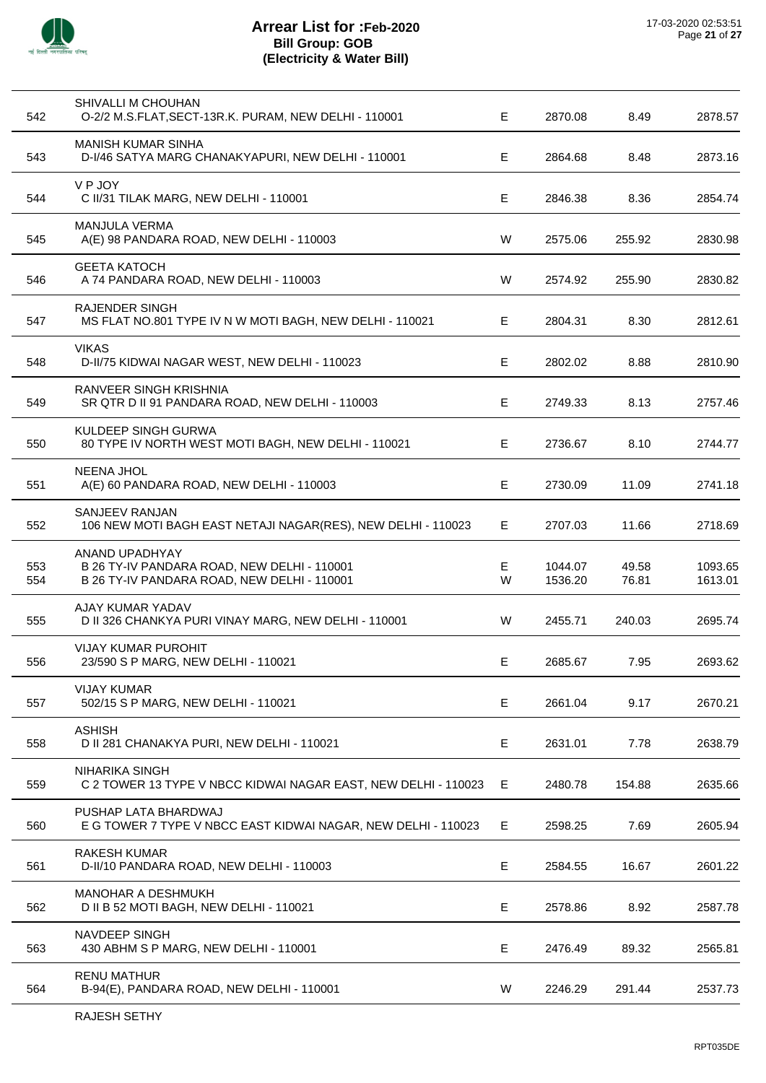

| 542        | SHIVALLI M CHOUHAN<br>O-2/2 M.S.FLAT, SECT-13R.K. PURAM, NEW DELHI - 110001                                  | Е           | 2870.08            | 8.49           | 2878.57            |
|------------|--------------------------------------------------------------------------------------------------------------|-------------|--------------------|----------------|--------------------|
| 543        | MANISH KUMAR SINHA<br>D-I/46 SATYA MARG CHANAKYAPURI, NEW DELHI - 110001                                     | Е           | 2864.68            | 8.48           | 2873.16            |
| 544        | V P JOY<br>C II/31 TILAK MARG, NEW DELHI - 110001                                                            | Е           | 2846.38            | 8.36           | 2854.74            |
| 545        | <b>MANJULA VERMA</b><br>A(E) 98 PANDARA ROAD, NEW DELHI - 110003                                             | W           | 2575.06            | 255.92         | 2830.98            |
| 546        | <b>GEETA KATOCH</b><br>A 74 PANDARA ROAD, NEW DELHI - 110003                                                 | W           | 2574.92            | 255.90         | 2830.82            |
| 547        | <b>RAJENDER SINGH</b><br>MS FLAT NO.801 TYPE IV N W MOTI BAGH, NEW DELHI - 110021                            | E           | 2804.31            | 8.30           | 2812.61            |
| 548        | <b>VIKAS</b><br>D-II/75 KIDWAI NAGAR WEST, NEW DELHI - 110023                                                | E           | 2802.02            | 8.88           | 2810.90            |
| 549        | <b>RANVEER SINGH KRISHNIA</b><br>SR QTR D II 91 PANDARA ROAD, NEW DELHI - 110003                             | Е           | 2749.33            | 8.13           | 2757.46            |
| 550        | KULDEEP SINGH GURWA<br>80 TYPE IV NORTH WEST MOTI BAGH, NEW DELHI - 110021                                   | Е           | 2736.67            | 8.10           | 2744.77            |
| 551        | <b>NEENA JHOL</b><br>A(E) 60 PANDARA ROAD, NEW DELHI - 110003                                                | E           | 2730.09            | 11.09          | 2741.18            |
| 552        | SANJEEV RANJAN<br>106 NEW MOTI BAGH EAST NETAJI NAGAR(RES), NEW DELHI - 110023                               | Е           | 2707.03            | 11.66          | 2718.69            |
| 553<br>554 | ANAND UPADHYAY<br>B 26 TY-IV PANDARA ROAD, NEW DELHI - 110001<br>B 26 TY-IV PANDARA ROAD, NEW DELHI - 110001 | E<br>W      | 1044.07<br>1536.20 | 49.58<br>76.81 | 1093.65<br>1613.01 |
| 555        | AJAY KUMAR YADAV<br>D II 326 CHANKYA PURI VINAY MARG, NEW DELHI - 110001                                     | W           | 2455.71            | 240.03         | 2695.74            |
| 556        | <b>VIJAY KUMAR PUROHIT</b><br>23/590 S P MARG, NEW DELHI - 110021                                            | Е           | 2685.67            | 7.95           | 2693.62            |
| 557        | <b>VIJAY KUMAR</b><br>502/15 S P MARG, NEW DELHI - 110021                                                    | Е           | 2661.04            | 9.17           | 2670.21            |
| 558        | <b>ASHISH</b><br>D II 281 CHANAKYA PURI, NEW DELHI - 110021                                                  | E           | 2631.01            | 7.78           | 2638.79            |
| 559        | <b>NIHARIKA SINGH</b><br>C 2 TOWER 13 TYPE V NBCC KIDWAI NAGAR EAST, NEW DELHI - 110023                      | Е           | 2480.78            | 154.88         | 2635.66            |
| 560        | PUSHAP LATA BHARDWAJ<br>E G TOWER 7 TYPE V NBCC EAST KIDWAI NAGAR, NEW DELHI - 110023                        | Е           | 2598.25            | 7.69           | 2605.94            |
| 561        | <b>RAKESH KUMAR</b><br>D-II/10 PANDARA ROAD, NEW DELHI - 110003                                              | E           | 2584.55            | 16.67          | 2601.22            |
| 562        | <b>MANOHAR A DESHMUKH</b><br>D II B 52 MOTI BAGH, NEW DELHI - 110021                                         | $\mathsf E$ | 2578.86            | 8.92           | 2587.78            |
| 563        | <b>NAVDEEP SINGH</b><br>430 ABHM S P MARG, NEW DELHI - 110001                                                | E           | 2476.49            | 89.32          | 2565.81            |
| 564        | <b>RENU MATHUR</b><br>B-94(E), PANDARA ROAD, NEW DELHI - 110001                                              | W           | 2246.29            | 291.44         | 2537.73            |
|            |                                                                                                              |             |                    |                |                    |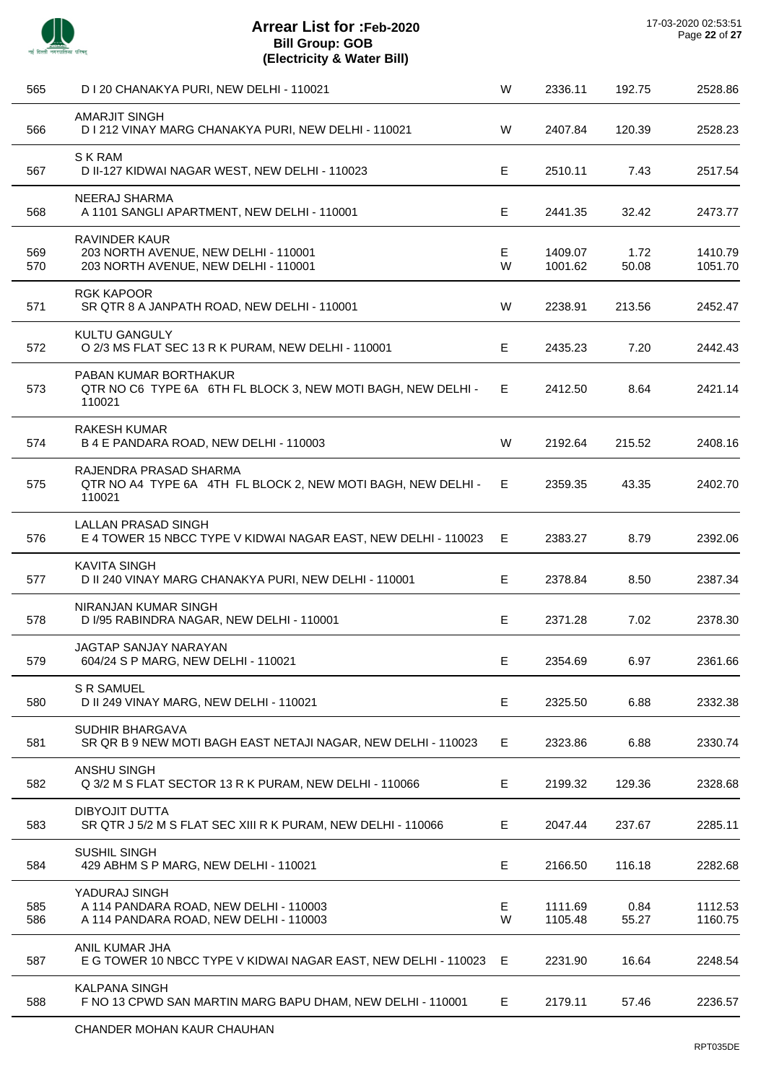

| 565        | D I 20 CHANAKYA PURI, NEW DELHI - 110021                                                             | W       | 2336.11            | 192.75        | 2528.86            |
|------------|------------------------------------------------------------------------------------------------------|---------|--------------------|---------------|--------------------|
| 566        | <b>AMARJIT SINGH</b><br>D I 212 VINAY MARG CHANAKYA PURI, NEW DELHI - 110021                         | W       | 2407.84            | 120.39        | 2528.23            |
| 567        | <b>SKRAM</b><br>D II-127 KIDWAI NAGAR WEST, NEW DELHI - 110023                                       | E       | 2510.11            | 7.43          | 2517.54            |
| 568        | NEERAJ SHARMA<br>A 1101 SANGLI APARTMENT, NEW DELHI - 110001                                         | Е       | 2441.35            | 32.42         | 2473.77            |
| 569<br>570 | <b>RAVINDER KAUR</b><br>203 NORTH AVENUE, NEW DELHI - 110001<br>203 NORTH AVENUE, NEW DELHI - 110001 | E.<br>W | 1409.07<br>1001.62 | 1.72<br>50.08 | 1410.79<br>1051.70 |
| 571        | <b>RGK KAPOOR</b><br>SR QTR 8 A JANPATH ROAD, NEW DELHI - 110001                                     | W       | 2238.91            | 213.56        | 2452.47            |
| 572        | <b>KULTU GANGULY</b><br>O 2/3 MS FLAT SEC 13 R K PURAM, NEW DELHI - 110001                           | E.      | 2435.23            | 7.20          | 2442.43            |
| 573        | PABAN KUMAR BORTHAKUR<br>QTR NO C6 TYPE 6A 6TH FL BLOCK 3, NEW MOTI BAGH, NEW DELHI -<br>110021      | E.      | 2412.50            | 8.64          | 2421.14            |
| 574        | <b>RAKESH KUMAR</b><br>B 4 E PANDARA ROAD, NEW DELHI - 110003                                        | W       | 2192.64            | 215.52        | 2408.16            |
| 575        | RAJENDRA PRASAD SHARMA<br>QTR NO A4 TYPE 6A 4TH FL BLOCK 2, NEW MOTI BAGH, NEW DELHI -<br>110021     | Е.      | 2359.35            | 43.35         | 2402.70            |
| 576        | LALLAN PRASAD SINGH<br>E 4 TOWER 15 NBCC TYPE V KIDWAI NAGAR EAST, NEW DELHI - 110023                | E       | 2383.27            | 8.79          | 2392.06            |
| 577        | <b>KAVITA SINGH</b><br>D II 240 VINAY MARG CHANAKYA PURI, NEW DELHI - 110001                         | E       | 2378.84            | 8.50          | 2387.34            |
| 578        | NIRANJAN KUMAR SINGH<br>D I/95 RABINDRA NAGAR, NEW DELHI - 110001                                    | E.      | 2371.28            | 7.02          | 2378.30            |
| 579        | <b>JAGTAP SANJAY NARAYAN</b><br>604/24 S P MARG, NEW DELHI - 110021                                  | E.      | 2354.69            | 6.97          | 2361.66            |
| 580        | <b>S R SAMUEL</b><br>D II 249 VINAY MARG, NEW DELHI - 110021                                         | Е       | 2325.50            | 6.88          | 2332.38            |
| 581        | SUDHIR BHARGAVA<br>SR QR B 9 NEW MOTI BAGH EAST NETAJI NAGAR, NEW DELHI - 110023                     | E.      | 2323.86            | 6.88          | 2330.74            |
| 582        | <b>ANSHU SINGH</b><br>Q 3/2 M S FLAT SECTOR 13 R K PURAM, NEW DELHI - 110066                         | E.      | 2199.32            | 129.36        | 2328.68            |
| 583        | <b>DIBYOJIT DUTTA</b><br>SR QTR J 5/2 M S FLAT SEC XIII R K PURAM, NEW DELHI - 110066                | E.      | 2047.44            | 237.67        | 2285.11            |
| 584        | <b>SUSHIL SINGH</b><br>429 ABHM S P MARG, NEW DELHI - 110021                                         | Е       | 2166.50            | 116.18        | 2282.68            |
| 585<br>586 | YADURAJ SINGH<br>A 114 PANDARA ROAD, NEW DELHI - 110003<br>A 114 PANDARA ROAD, NEW DELHI - 110003    | E<br>W  | 1111.69<br>1105.48 | 0.84<br>55.27 | 1112.53<br>1160.75 |
| 587        | ANIL KUMAR JHA<br>E G TOWER 10 NBCC TYPE V KIDWAI NAGAR EAST, NEW DELHI - 110023 E                   |         | 2231.90            | 16.64         | 2248.54            |
| 588        | <b>KALPANA SINGH</b><br>F NO 13 CPWD SAN MARTIN MARG BAPU DHAM, NEW DELHI - 110001                   | E.      | 2179.11            | 57.46         | 2236.57            |
|            | CHANDER MOHAN KAUR CHAUHAN                                                                           |         |                    |               |                    |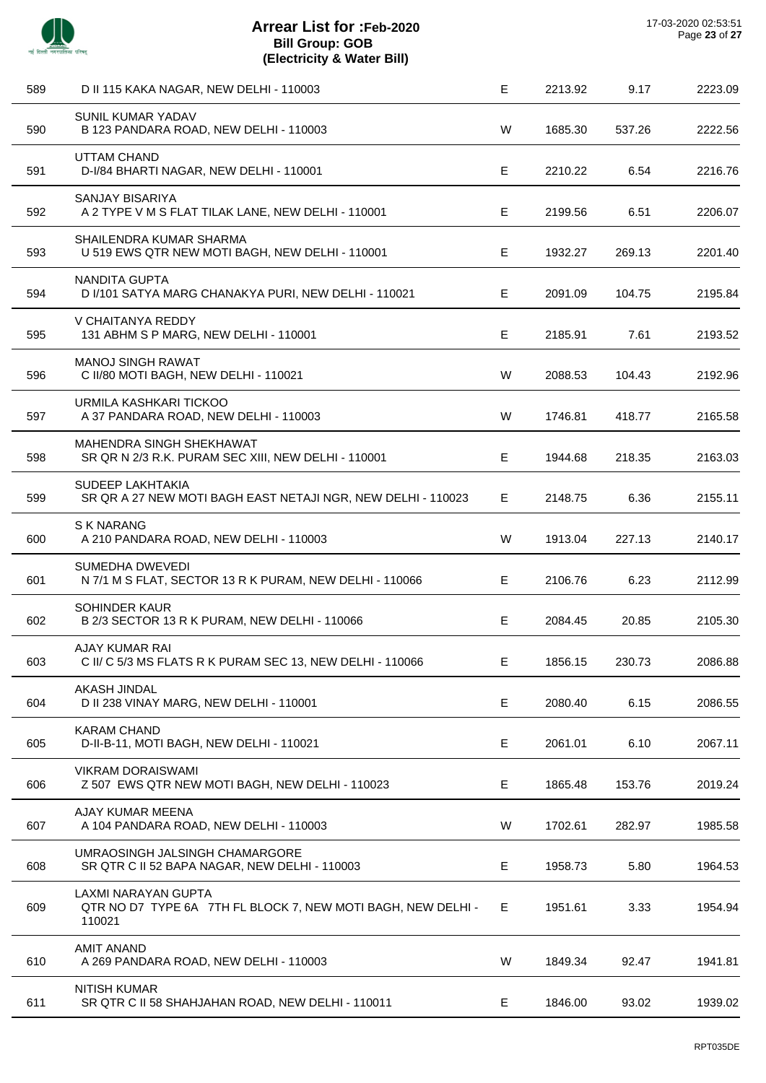| 589 | D II 115 KAKA NAGAR, NEW DELHI - 110003                                                       | $\mathsf E$ | 2213.92 | 9.17   | 2223.09 |
|-----|-----------------------------------------------------------------------------------------------|-------------|---------|--------|---------|
| 590 | <b>SUNIL KUMAR YADAV</b><br>B 123 PANDARA ROAD, NEW DELHI - 110003                            | W           | 1685.30 | 537.26 | 2222.56 |
| 591 | <b>UTTAM CHAND</b><br>D-I/84 BHARTI NAGAR, NEW DELHI - 110001                                 | Е           | 2210.22 | 6.54   | 2216.76 |
| 592 | SANJAY BISARIYA<br>A 2 TYPE V M S FLAT TILAK LANE, NEW DELHI - 110001                         | E           | 2199.56 | 6.51   | 2206.07 |
| 593 | SHAILENDRA KUMAR SHARMA<br>U 519 EWS QTR NEW MOTI BAGH, NEW DELHI - 110001                    | Е           | 1932.27 | 269.13 | 2201.40 |
| 594 | NANDITA GUPTA<br>D I/101 SATYA MARG CHANAKYA PURI, NEW DELHI - 110021                         | Е           | 2091.09 | 104.75 | 2195.84 |
| 595 | V CHAITANYA REDDY<br>131 ABHM S P MARG, NEW DELHI - 110001                                    | Е           | 2185.91 | 7.61   | 2193.52 |
| 596 | <b>MANOJ SINGH RAWAT</b><br>C II/80 MOTI BAGH, NEW DELHI - 110021                             | W           | 2088.53 | 104.43 | 2192.96 |
| 597 | URMILA KASHKARI TICKOO<br>A 37 PANDARA ROAD, NEW DELHI - 110003                               | W           | 1746.81 | 418.77 | 2165.58 |
| 598 | MAHENDRA SINGH SHEKHAWAT<br>SR QR N 2/3 R.K. PURAM SEC XIII, NEW DELHI - 110001               | Е           | 1944.68 | 218.35 | 2163.03 |
| 599 | <b>SUDEEP LAKHTAKIA</b><br>SR QR A 27 NEW MOTI BAGH EAST NETAJI NGR, NEW DELHI - 110023       | E.          | 2148.75 | 6.36   | 2155.11 |
| 600 | <b>S K NARANG</b><br>A 210 PANDARA ROAD, NEW DELHI - 110003                                   | W           | 1913.04 | 227.13 | 2140.17 |
| 601 | SUMEDHA DWEVEDI<br>N 7/1 M S FLAT, SECTOR 13 R K PURAM, NEW DELHI - 110066                    | Е           | 2106.76 | 6.23   | 2112.99 |
| 602 | <b>SOHINDER KAUR</b><br>B 2/3 SECTOR 13 R K PURAM, NEW DELHI - 110066                         | Е           | 2084.45 | 20.85  | 2105.30 |
| 603 | <b>AJAY KUMAR RAI</b><br>C II/ C 5/3 MS FLATS R K PURAM SEC 13, NEW DELHI - 110066            | Е           | 1856.15 | 230.73 | 2086.88 |
| 604 | AKASH JINDAL<br>D II 238 VINAY MARG, NEW DELHI - 110001                                       | E           | 2080.40 | 6.15   | 2086.55 |
| 605 | <b>KARAM CHAND</b><br>D-II-B-11, MOTI BAGH, NEW DELHI - 110021                                | E           | 2061.01 | 6.10   | 2067.11 |
| 606 | <b>VIKRAM DORAISWAMI</b><br>Z 507 EWS QTR NEW MOTI BAGH, NEW DELHI - 110023                   | Е           | 1865.48 | 153.76 | 2019.24 |
| 607 | AJAY KUMAR MEENA<br>A 104 PANDARA ROAD, NEW DELHI - 110003                                    | W           | 1702.61 | 282.97 | 1985.58 |
| 608 | UMRAOSINGH JALSINGH CHAMARGORE<br>SR QTR C II 52 BAPA NAGAR, NEW DELHI - 110003               | E           | 1958.73 | 5.80   | 1964.53 |
| 609 | LAXMI NARAYAN GUPTA<br>QTR NO D7 TYPE 6A 7TH FL BLOCK 7, NEW MOTI BAGH, NEW DELHI -<br>110021 | Е.          | 1951.61 | 3.33   | 1954.94 |
| 610 | <b>AMIT ANAND</b><br>A 269 PANDARA ROAD, NEW DELHI - 110003                                   | W           | 1849.34 | 92.47  | 1941.81 |
| 611 | <b>NITISH KUMAR</b><br>SR QTR C II 58 SHAHJAHAN ROAD, NEW DELHI - 110011                      | Е           | 1846.00 | 93.02  | 1939.02 |
|     |                                                                                               |             |         |        |         |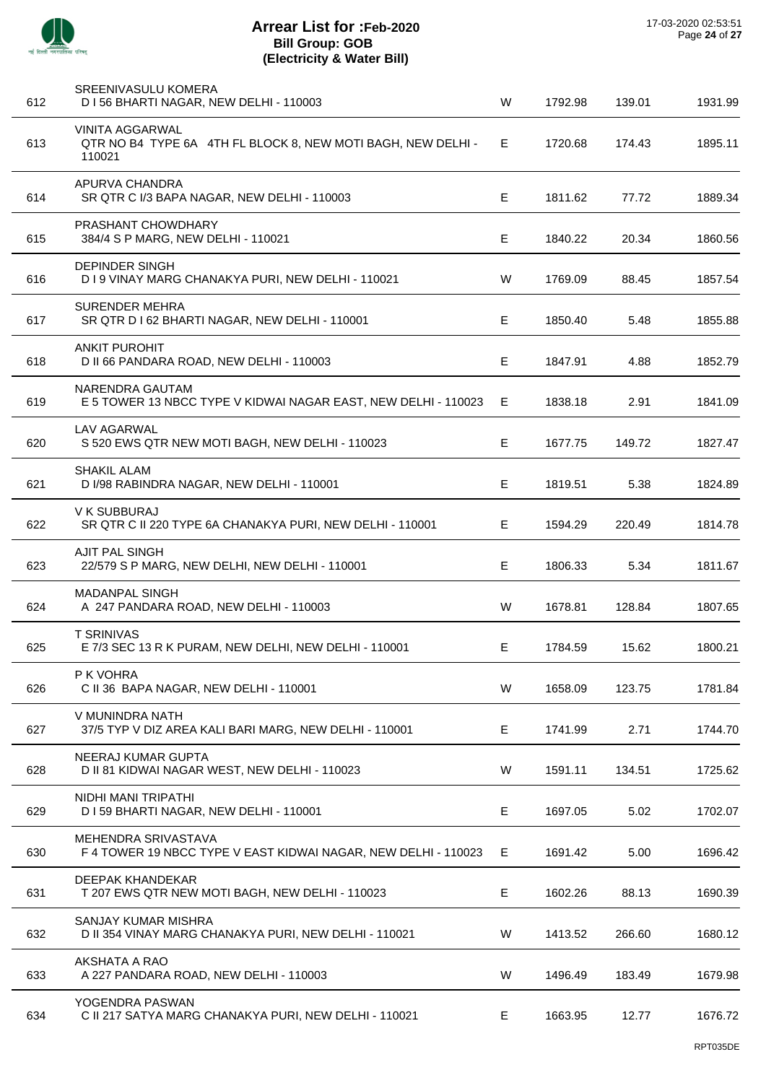

J.

 $\overline{\phantom{a}}$ 

 $\overline{a}$ 

 $\overline{a}$ 

J.

| 612 | <b>SREENIVASULU KOMERA</b><br>D I 56 BHARTI NAGAR, NEW DELHI - 110003                            | W  | 1792.98 | 139.01 | 1931.99 |
|-----|--------------------------------------------------------------------------------------------------|----|---------|--------|---------|
| 613 | <b>VINITA AGGARWAL</b><br>QTR NO B4 TYPE 6A 4TH FL BLOCK 8, NEW MOTI BAGH, NEW DELHI -<br>110021 | E. | 1720.68 | 174.43 | 1895.11 |
| 614 | APURVA CHANDRA<br>SR QTR C I/3 BAPA NAGAR, NEW DELHI - 110003                                    | E. | 1811.62 | 77.72  | 1889.34 |
| 615 | PRASHANT CHOWDHARY<br>384/4 S P MARG, NEW DELHI - 110021                                         | E. | 1840.22 | 20.34  | 1860.56 |
| 616 | <b>DEPINDER SINGH</b><br>D I 9 VINAY MARG CHANAKYA PURI, NEW DELHI - 110021                      | W  | 1769.09 | 88.45  | 1857.54 |
| 617 | <b>SURENDER MEHRA</b><br>SR QTR D I 62 BHARTI NAGAR, NEW DELHI - 110001                          | E. | 1850.40 | 5.48   | 1855.88 |
| 618 | <b>ANKIT PUROHIT</b><br>D II 66 PANDARA ROAD, NEW DELHI - 110003                                 | Е  | 1847.91 | 4.88   | 1852.79 |
| 619 | NARENDRA GAUTAM<br>E 5 TOWER 13 NBCC TYPE V KIDWAI NAGAR EAST, NEW DELHI - 110023                | E. | 1838.18 | 2.91   | 1841.09 |
| 620 | <b>LAV AGARWAL</b><br>S 520 EWS QTR NEW MOTI BAGH, NEW DELHI - 110023                            | E. | 1677.75 | 149.72 | 1827.47 |
| 621 | <b>SHAKIL ALAM</b><br>D I/98 RABINDRA NAGAR, NEW DELHI - 110001                                  | Е  | 1819.51 | 5.38   | 1824.89 |
| 622 | V K SUBBURAJ<br>SR QTR C II 220 TYPE 6A CHANAKYA PURI, NEW DELHI - 110001                        | Е  | 1594.29 | 220.49 | 1814.78 |
| 623 | <b>AJIT PAL SINGH</b><br>22/579 S P MARG, NEW DELHI, NEW DELHI - 110001                          | E  | 1806.33 | 5.34   | 1811.67 |
| 624 | <b>MADANPAL SINGH</b><br>A 247 PANDARA ROAD, NEW DELHI - 110003                                  | W  | 1678.81 | 128.84 | 1807.65 |
| 625 | <b>T SRINIVAS</b><br>E 7/3 SEC 13 R K PURAM, NEW DELHI, NEW DELHI - 110001                       | E. | 1784.59 | 15.62  | 1800.21 |
| 626 | P K VOHRA<br>C II 36 BAPA NAGAR, NEW DELHI - 110001                                              | W  | 1658.09 | 123.75 | 1781.84 |
| 627 | V MUNINDRA NATH<br>37/5 TYP V DIZ AREA KALI BARI MARG, NEW DELHI - 110001                        | E  | 1741.99 | 2.71   | 1744.70 |
| 628 | NEERAJ KUMAR GUPTA<br>D II 81 KIDWAI NAGAR WEST, NEW DELHI - 110023                              | W  | 1591.11 | 134.51 | 1725.62 |
| 629 | NIDHI MANI TRIPATHI<br>D I 59 BHARTI NAGAR, NEW DELHI - 110001                                   | Е  | 1697.05 | 5.02   | 1702.07 |
| 630 | MEHENDRA SRIVASTAVA<br>F 4 TOWER 19 NBCC TYPE V EAST KIDWAI NAGAR, NEW DELHI - 110023            | E. | 1691.42 | 5.00   | 1696.42 |
| 631 | DEEPAK KHANDEKAR<br>T 207 EWS QTR NEW MOTI BAGH, NEW DELHI - 110023                              | Е  | 1602.26 | 88.13  | 1690.39 |
| 632 | SANJAY KUMAR MISHRA<br>D II 354 VINAY MARG CHANAKYA PURI, NEW DELHI - 110021                     | W  | 1413.52 | 266.60 | 1680.12 |
| 633 | AKSHATA A RAO<br>A 227 PANDARA ROAD, NEW DELHI - 110003                                          | W  | 1496.49 | 183.49 | 1679.98 |
| 634 | YOGENDRA PASWAN<br>C II 217 SATYA MARG CHANAKYA PURI, NEW DELHI - 110021                         | Е. | 1663.95 | 12.77  | 1676.72 |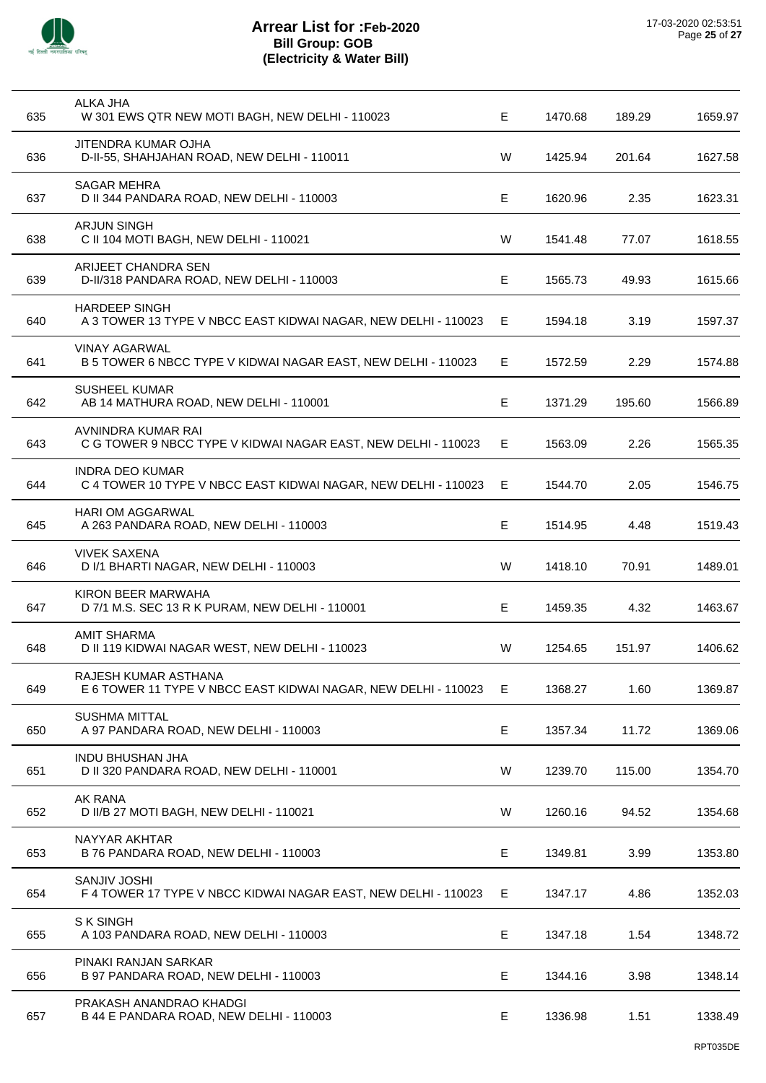

l,

 $\overline{a}$ 

l,

| <b>ALKA JHA</b><br>W 301 EWS QTR NEW MOTI BAGH, NEW DELHI - 110023                     | E.                                                                                                                                                                                                                                        | 1470.68               | 189.29                                                                      | 1659.97                                 |
|----------------------------------------------------------------------------------------|-------------------------------------------------------------------------------------------------------------------------------------------------------------------------------------------------------------------------------------------|-----------------------|-----------------------------------------------------------------------------|-----------------------------------------|
| JITENDRA KUMAR OJHA<br>D-II-55, SHAHJAHAN ROAD, NEW DELHI - 110011                     | W                                                                                                                                                                                                                                         | 1425.94               | 201.64                                                                      | 1627.58                                 |
| <b>SAGAR MEHRA</b><br>D II 344 PANDARA ROAD, NEW DELHI - 110003                        | Е                                                                                                                                                                                                                                         | 1620.96               | 2.35                                                                        | 1623.31                                 |
| <b>ARJUN SINGH</b><br>C II 104 MOTI BAGH, NEW DELHI - 110021                           | W                                                                                                                                                                                                                                         | 1541.48               | 77.07                                                                       | 1618.55                                 |
| ARIJEET CHANDRA SEN<br>D-II/318 PANDARA ROAD, NEW DELHI - 110003                       | Е                                                                                                                                                                                                                                         | 1565.73               | 49.93                                                                       | 1615.66                                 |
| <b>HARDEEP SINGH</b><br>A 3 TOWER 13 TYPE V NBCC EAST KIDWAI NAGAR, NEW DELHI - 110023 | E.                                                                                                                                                                                                                                        | 1594.18               | 3.19                                                                        | 1597.37                                 |
| <b>VINAY AGARWAL</b><br>B 5 TOWER 6 NBCC TYPE V KIDWAI NAGAR EAST, NEW DELHI - 110023  | E                                                                                                                                                                                                                                         | 1572.59               | 2.29                                                                        | 1574.88                                 |
| <b>SUSHEEL KUMAR</b><br>AB 14 MATHURA ROAD, NEW DELHI - 110001                         | Е                                                                                                                                                                                                                                         | 1371.29               | 195.60                                                                      | 1566.89                                 |
| AVNINDRA KUMAR RAI<br>C G TOWER 9 NBCC TYPE V KIDWAI NAGAR EAST, NEW DELHI - 110023    | E.                                                                                                                                                                                                                                        | 1563.09               | 2.26                                                                        | 1565.35                                 |
| INDRA DEO KUMAR<br>C 4 TOWER 10 TYPE V NBCC EAST KIDWAI NAGAR, NEW DELHI - 110023      | Е                                                                                                                                                                                                                                         | 1544.70               | 2.05                                                                        | 1546.75                                 |
| HARI OM AGGARWAL<br>A 263 PANDARA ROAD, NEW DELHI - 110003                             | E.                                                                                                                                                                                                                                        | 1514.95               | 4.48                                                                        | 1519.43                                 |
| <b>VIVEK SAXENA</b><br>D I/1 BHARTI NAGAR, NEW DELHI - 110003                          | W                                                                                                                                                                                                                                         | 1418.10               | 70.91                                                                       | 1489.01                                 |
| KIRON BEER MARWAHA<br>D 7/1 M.S. SEC 13 R K PURAM, NEW DELHI - 110001                  | Е                                                                                                                                                                                                                                         | 1459.35               | 4.32                                                                        | 1463.67                                 |
| <b>AMIT SHARMA</b><br>D II 119 KIDWAI NAGAR WEST, NEW DELHI - 110023                   | W                                                                                                                                                                                                                                         | 1254.65               | 151.97                                                                      | 1406.62                                 |
| RAJESH KUMAR ASTHANA<br>E 6 TOWER 11 TYPE V NBCC EAST KIDWAI NAGAR, NEW DELHI - 110023 | Е                                                                                                                                                                                                                                         | 1368.27               | 1.60                                                                        | 1369.87                                 |
| <b>SUSHMA MITTAL</b><br>A 97 PANDARA ROAD, NEW DELHI - 110003                          | Е                                                                                                                                                                                                                                         | 1357.34               | 11.72                                                                       | 1369.06                                 |
| <b>INDU BHUSHAN JHA</b>                                                                |                                                                                                                                                                                                                                           |                       |                                                                             | 1354.70                                 |
| AK RANA                                                                                |                                                                                                                                                                                                                                           |                       |                                                                             | 1354.68                                 |
| NAYYAR AKHTAR                                                                          |                                                                                                                                                                                                                                           |                       |                                                                             | 1353.80                                 |
| <b>SANJIV JOSHI</b>                                                                    |                                                                                                                                                                                                                                           |                       |                                                                             | 1352.03                                 |
| S K SINGH                                                                              |                                                                                                                                                                                                                                           |                       |                                                                             | 1348.72                                 |
|                                                                                        |                                                                                                                                                                                                                                           |                       |                                                                             |                                         |
| B 97 PANDARA ROAD, NEW DELHI - 110003                                                  | Е                                                                                                                                                                                                                                         | 1344.16               | 3.98                                                                        | 1348.14                                 |
|                                                                                        | D II 320 PANDARA ROAD, NEW DELHI - 110001<br>D II/B 27 MOTI BAGH, NEW DELHI - 110021<br>B 76 PANDARA ROAD, NEW DELHI - 110003<br>F 4 TOWER 17 TYPE V NBCC KIDWAI NAGAR EAST, NEW DELHI - 110023<br>A 103 PANDARA ROAD, NEW DELHI - 110003 | W<br>W<br>E<br>Е<br>Е | 1239.70<br>1260.16<br>1349.81<br>1347.17<br>1347.18<br>PINAKI RANJAN SARKAR | 115.00<br>94.52<br>3.99<br>4.86<br>1.54 |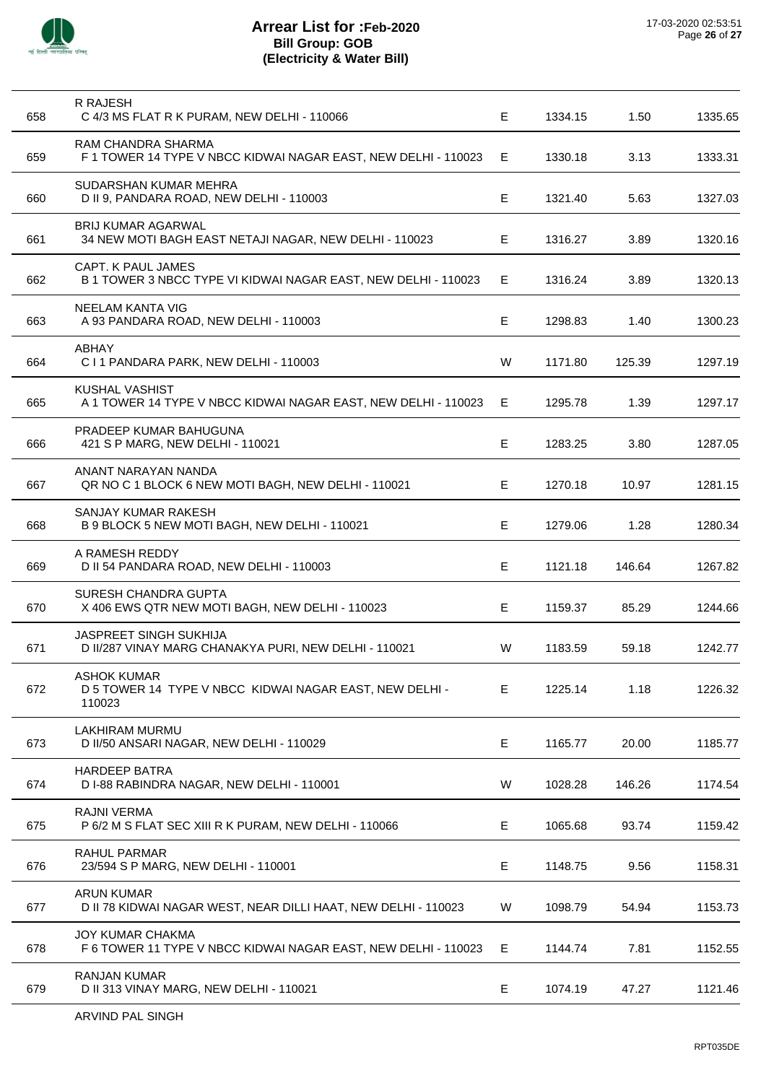

| 658 | R RAJESH<br>C 4/3 MS FLAT R K PURAM, NEW DELHI - 110066                                 | Е  | 1334.15 | 1.50   | 1335.65 |
|-----|-----------------------------------------------------------------------------------------|----|---------|--------|---------|
| 659 | RAM CHANDRA SHARMA<br>F 1 TOWER 14 TYPE V NBCC KIDWAI NAGAR EAST, NEW DELHI - 110023    | Е  | 1330.18 | 3.13   | 1333.31 |
| 660 | SUDARSHAN KUMAR MEHRA<br>D II 9, PANDARA ROAD, NEW DELHI - 110003                       | Е  | 1321.40 | 5.63   | 1327.03 |
| 661 | <b>BRIJ KUMAR AGARWAL</b><br>34 NEW MOTI BAGH EAST NETAJI NAGAR, NEW DELHI - 110023     | E. | 1316.27 | 3.89   | 1320.16 |
| 662 | CAPT. K PAUL JAMES<br>B 1 TOWER 3 NBCC TYPE VI KIDWAI NAGAR EAST, NEW DELHI - 110023    | E  | 1316.24 | 3.89   | 1320.13 |
| 663 | NEELAM KANTA VIG<br>A 93 PANDARA ROAD, NEW DELHI - 110003                               | E  | 1298.83 | 1.40   | 1300.23 |
| 664 | ABHAY<br>C I 1 PANDARA PARK, NEW DELHI - 110003                                         | W  | 1171.80 | 125.39 | 1297.19 |
| 665 | <b>KUSHAL VASHIST</b><br>A 1 TOWER 14 TYPE V NBCC KIDWAI NAGAR EAST, NEW DELHI - 110023 | E, | 1295.78 | 1.39   | 1297.17 |
| 666 | PRADEEP KUMAR BAHUGUNA<br>421 S P MARG, NEW DELHI - 110021                              | E  | 1283.25 | 3.80   | 1287.05 |
| 667 | ANANT NARAYAN NANDA<br>QR NO C 1 BLOCK 6 NEW MOTI BAGH, NEW DELHI - 110021              | Е  | 1270.18 | 10.97  | 1281.15 |
| 668 | SANJAY KUMAR RAKESH<br>B 9 BLOCK 5 NEW MOTI BAGH, NEW DELHI - 110021                    | Е  | 1279.06 | 1.28   | 1280.34 |
| 669 | A RAMESH REDDY<br>D II 54 PANDARA ROAD, NEW DELHI - 110003                              | Е  | 1121.18 | 146.64 | 1267.82 |
| 670 | SURESH CHANDRA GUPTA<br>X 406 EWS QTR NEW MOTI BAGH, NEW DELHI - 110023                 | Е  | 1159.37 | 85.29  | 1244.66 |
| 671 | JASPREET SINGH SUKHIJA<br>D II/287 VINAY MARG CHANAKYA PURI, NEW DELHI - 110021         | W  | 1183.59 | 59.18  | 1242.77 |
| 672 | <b>ASHOK KUMAR</b><br>D 5 TOWER 14 TYPE V NBCC KIDWAI NAGAR EAST, NEW DELHI -<br>110023 | Е  | 1225.14 | 1.18   | 1226.32 |
| 673 | LAKHIRAM MURMU<br>D II/50 ANSARI NAGAR, NEW DELHI - 110029                              | E  | 1165.77 | 20.00  | 1185.77 |
| 674 | <b>HARDEEP BATRA</b><br>D I-88 RABINDRA NAGAR, NEW DELHI - 110001                       | W  | 1028.28 | 146.26 | 1174.54 |
| 675 | <b>RAJNI VERMA</b><br>P 6/2 M S FLAT SEC XIII R K PURAM, NEW DELHI - 110066             | Е  | 1065.68 | 93.74  | 1159.42 |
| 676 | RAHUL PARMAR<br>23/594 S P MARG, NEW DELHI - 110001                                     | Е  | 1148.75 | 9.56   | 1158.31 |
| 677 | <b>ARUN KUMAR</b><br>D II 78 KIDWAI NAGAR WEST, NEAR DILLI HAAT, NEW DELHI - 110023     | W  | 1098.79 | 54.94  | 1153.73 |
| 678 | JOY KUMAR CHAKMA<br>F 6 TOWER 11 TYPE V NBCC KIDWAI NAGAR EAST, NEW DELHI - 110023      | Е  | 1144.74 | 7.81   | 1152.55 |
| 679 | <b>RANJAN KUMAR</b><br>D II 313 VINAY MARG, NEW DELHI - 110021                          | E  | 1074.19 | 47.27  | 1121.46 |
|     |                                                                                         |    |         |        |         |